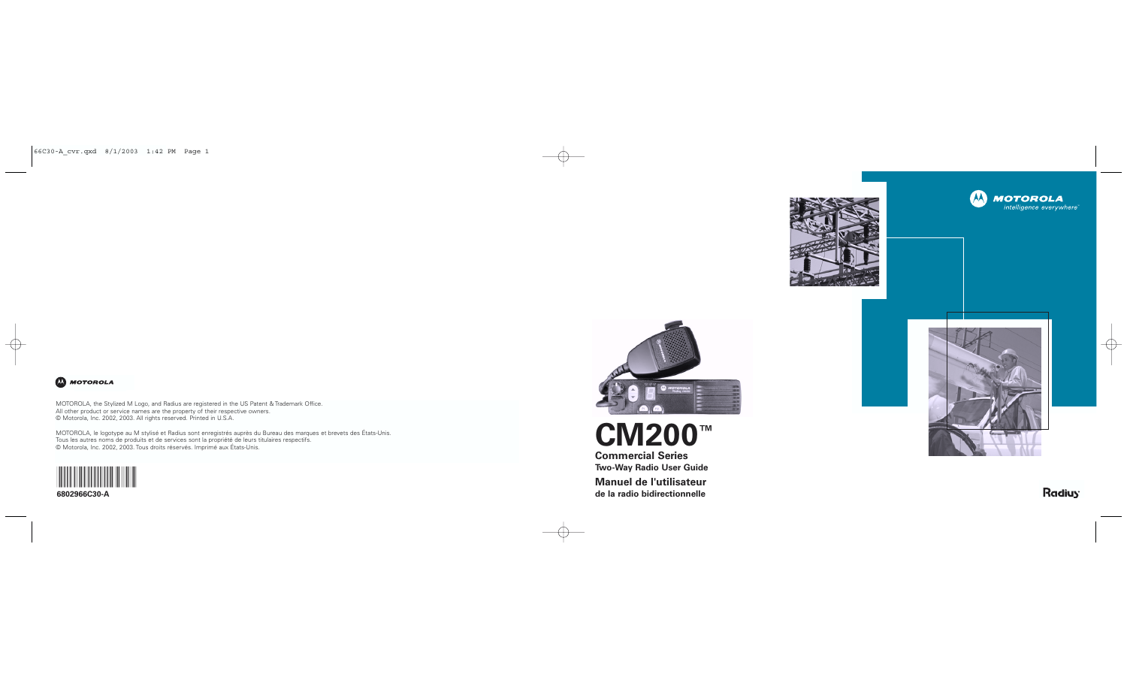

# **CM200 ™**

**Commercial Series Two-Way Radio User Guide Manuel de l'utilisateur de la radio bidirectionnelle**

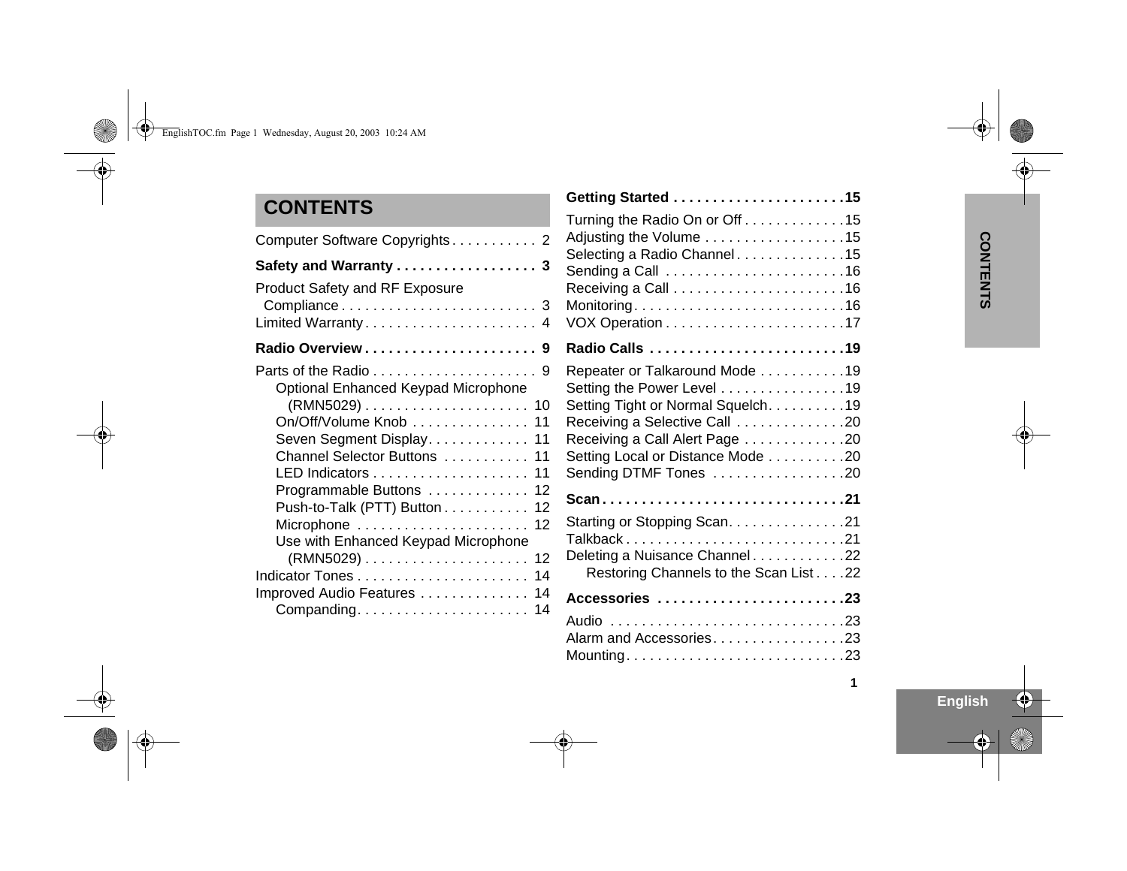### **CONTENTS**

| Computer Software Copyrights 2                                                                                                                                                       |
|--------------------------------------------------------------------------------------------------------------------------------------------------------------------------------------|
| Safety and Warranty 3                                                                                                                                                                |
| <b>Product Safety and RF Exposure</b><br>Limited Warranty 4                                                                                                                          |
| Radio Overview 9                                                                                                                                                                     |
| Optional Enhanced Keypad Microphone<br>On/Off/Volume Knob 11<br>Seven Segment Display 11<br>Channel Selector Buttons  11<br>Programmable Buttons  12<br>Push-to-Talk (PTT) Button 12 |
| Microphone  12<br>Use with Enhanced Keypad Microphone<br>Improved Audio Features 14                                                                                                  |

| Turning the Radio On or Off15<br>Adjusting the Volume 15<br>Selecting a Radio Channel15                                                                                                                                              |
|--------------------------------------------------------------------------------------------------------------------------------------------------------------------------------------------------------------------------------------|
| Radio Calls 19                                                                                                                                                                                                                       |
| Repeater or Talkaround Mode 19<br>Setting the Power Level 19<br>Setting Tight or Normal Squelch. 19<br>Receiving a Selective Call 20<br>Receiving a Call Alert Page 20<br>Setting Local or Distance Mode 20<br>Sending DTMF Tones 20 |
| Scan21                                                                                                                                                                                                                               |
| Starting or Stopping Scan. 21<br>Deleting a Nuisance Channel22<br>Restoring Channels to the Scan List 22                                                                                                                             |
| Accessories 23                                                                                                                                                                                                                       |
| Alarm and Accessories23                                                                                                                                                                                                              |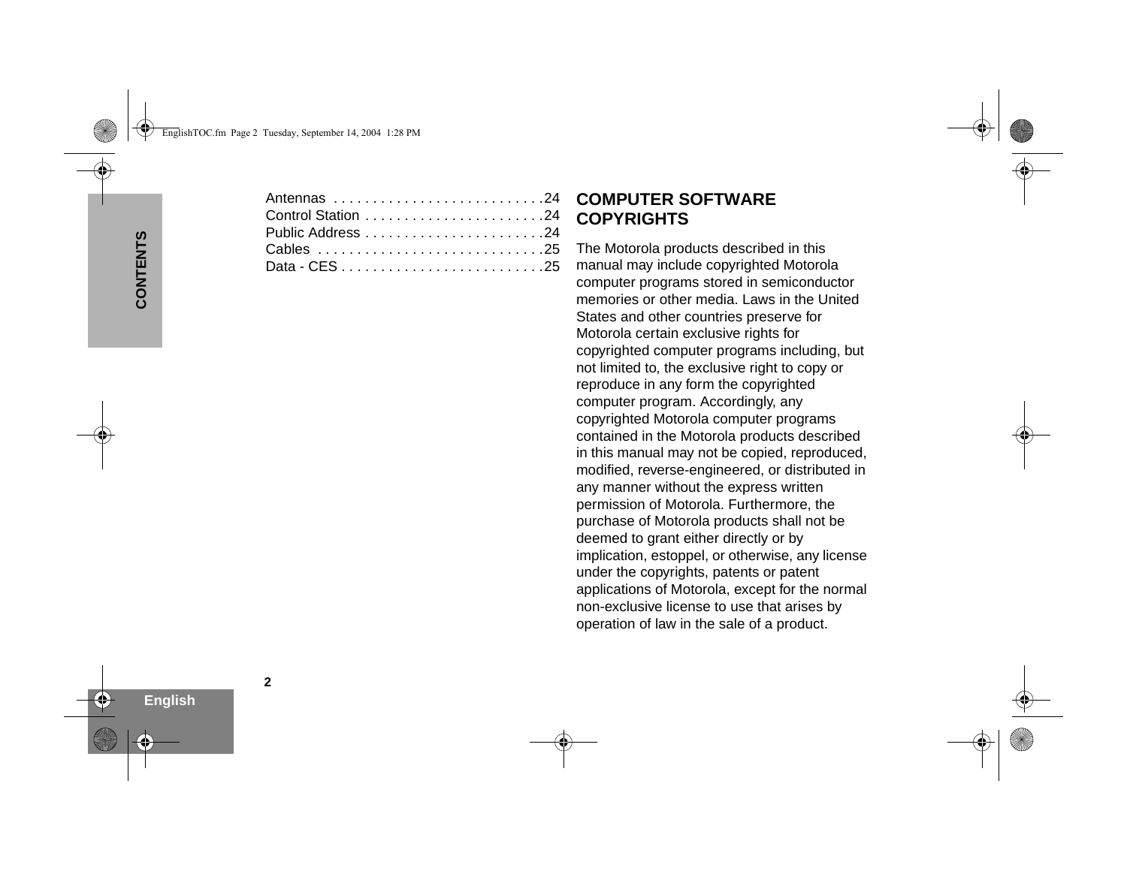### **COMPUTER SOFTWARE COPYRIGHTS**

The Motorola products described in this manual may include copyrighted Motorola computer programs stored in semiconductor memories or other media. Laws in the United States and other countries preserve for Motorola certain exclusive rights for copyrighted computer programs including, but not limited to, the exclusive right to copy or reproduce in any form the copyrighted computer program. Accordingly, any copyrighted Motorola computer programs contained in the Motorola products described in this manual may not be copied, reproduced, modified, reverse-engineered, or distributed in any manner without the express written permission of Motorola. Furthermore, the purchase of Motorola products shall not be deemed to grant either directly or by implication, estoppel, or otherwise, any license under the copyrights, patents or patent applications of Motorola, except for the normal non-exclusive license to use that arises by operation of law in the sale of a product.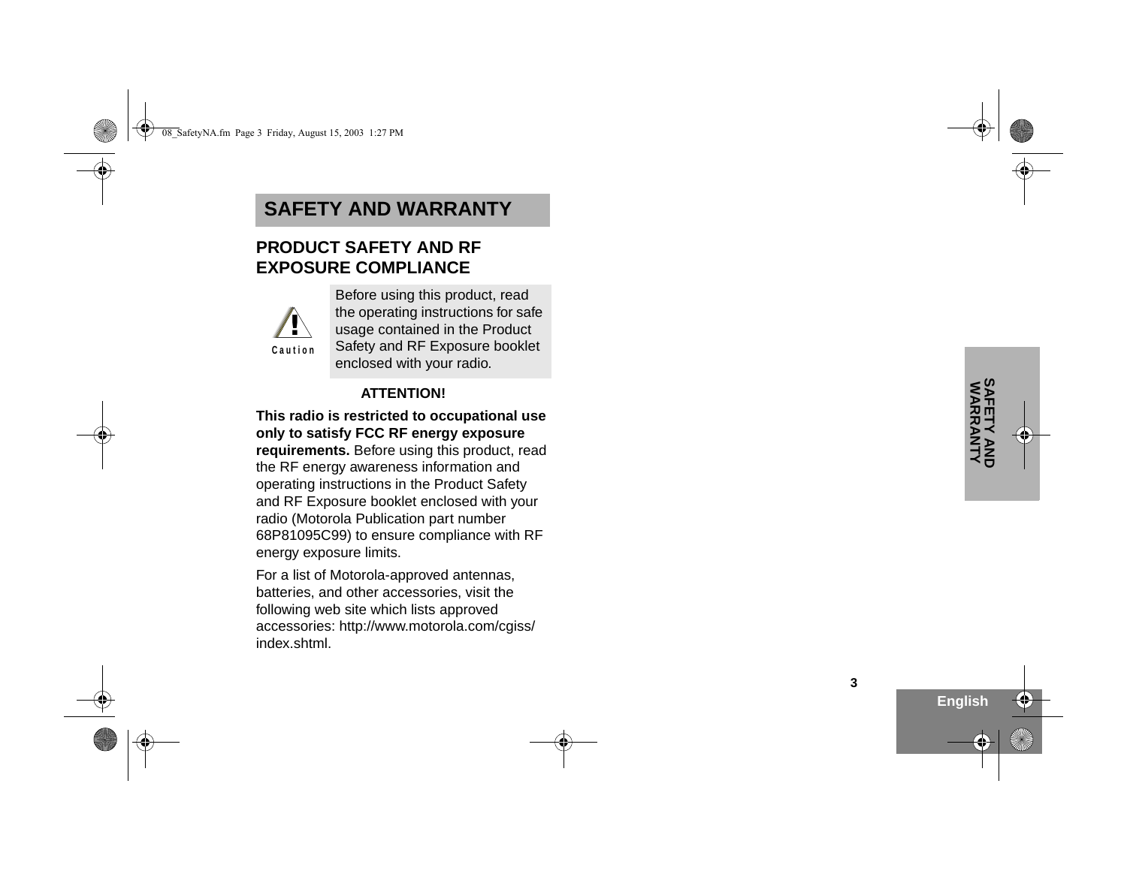### <span id="page-4-0"></span>**SAFETY AND WARRANTY**

### <span id="page-4-1"></span>**PRODUCT SAFETY AND RF EXPOSURE COMPLIANCE**



Before using this product, read the operating instructions for safe usage contained in the Product Safety and RF Exposure booklet enclosed with your radio.

### **ATTENTION!**

**This radio is restricted to occupational use only to satisfy FCC RF energy exposure requirements.** Before using this product, read the RF energy awareness information and operating instructions in the Product Safety and RF Exposure booklet enclosed with your radio (Motorola Publication part number 68P81095C99) to ensure compliance with RF energy exposure limits.

For a list of Motorola-approved antennas, batteries, and other accessories, visit the following web site which lists approved accessories: http://www.motorola.com/cgiss/ index.shtml.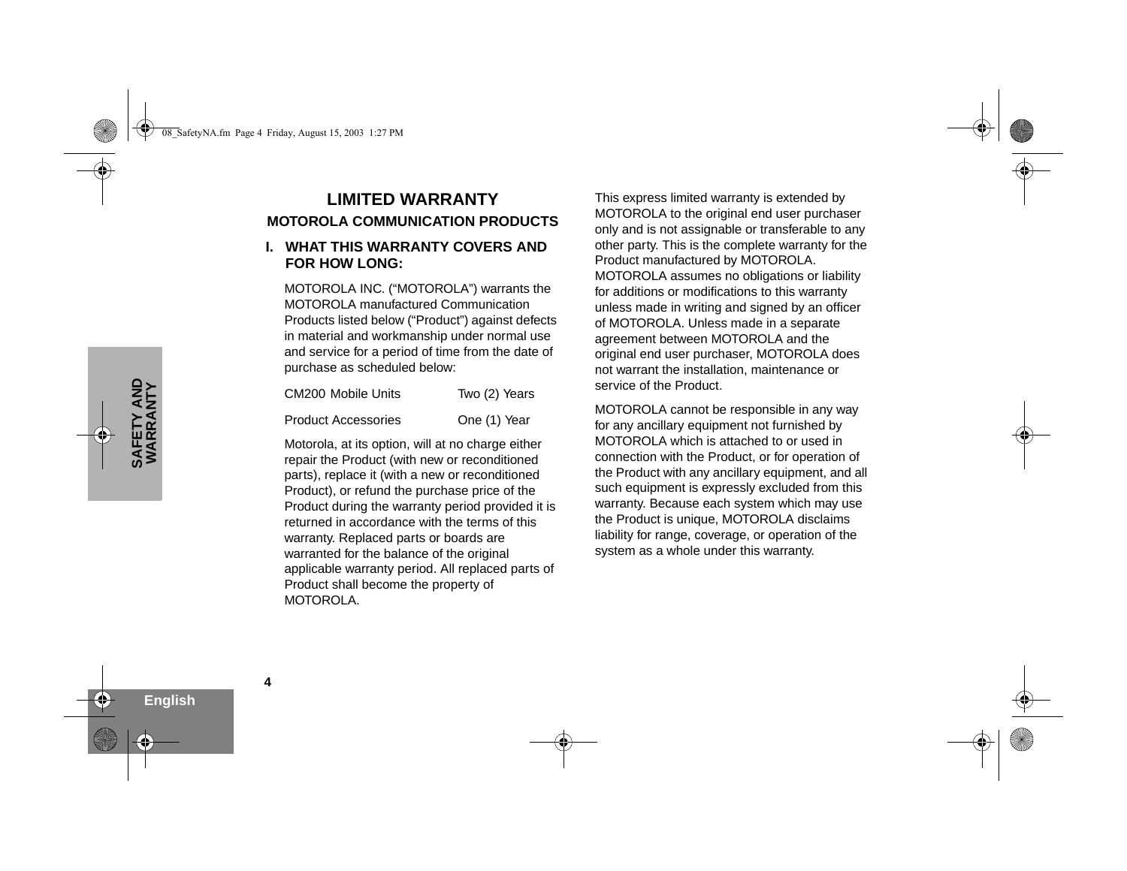### <span id="page-5-0"></span>**LIMITED WARRANTYMOTOROLA COMMUNICATION PRODUCTS**

#### **I. WHAT THIS WARRANTY COVERS AND FOR HOW LONG:**

MOTOROLA INC. ("MOTOROLA") warrants the MOTOROLA manufactured Communication Products listed below ("Product") against defects in material and workmanship under normal use and service for a period of time from the date of purchase as scheduled below:

| CM200 Mobile Units         | Two (2) Years |
|----------------------------|---------------|
| <b>Product Accessories</b> | One (1) Year  |

Motorola, at its option, will at no charge either repair the Product (with new or reconditioned parts), replace it (with a new or reconditioned Product), or refund the purchase price of the Product during the warranty period provided it is returned in accordance with the terms of this warranty. Replaced parts or boards are warranted for the balance of the original applicable warranty period. All replaced parts of Product shall become the property of MOTOROLA.

This express limited warranty is extended by MOTOROLA to the original end user purchaser only and is not assignable or transferable to any other party. This is the complete warranty for the Product manufactured by MOTOROLA. MOTOROLA assumes no obligations or liability for additions or modifications to this warranty unless made in writing and signed by an officer of MOTOROLA. Unless made in a separate agreement between MOTOROLA and the original end user purchaser, MOTOROLA does not warrant the installation, maintenance or service of the Product.

MOTOROLA cannot be responsible in any way for any ancillary equipment not furnished by MOTOROLA which is attached to or used in connection with the Product, or for operation of the Product with any ancillary equipment, and all such equipment is expressly excluded from this warranty. Because each system which may use the Product is unique, MOTOROLA disclaims liability for range, coverage, or operation of the system as a whole under this warranty.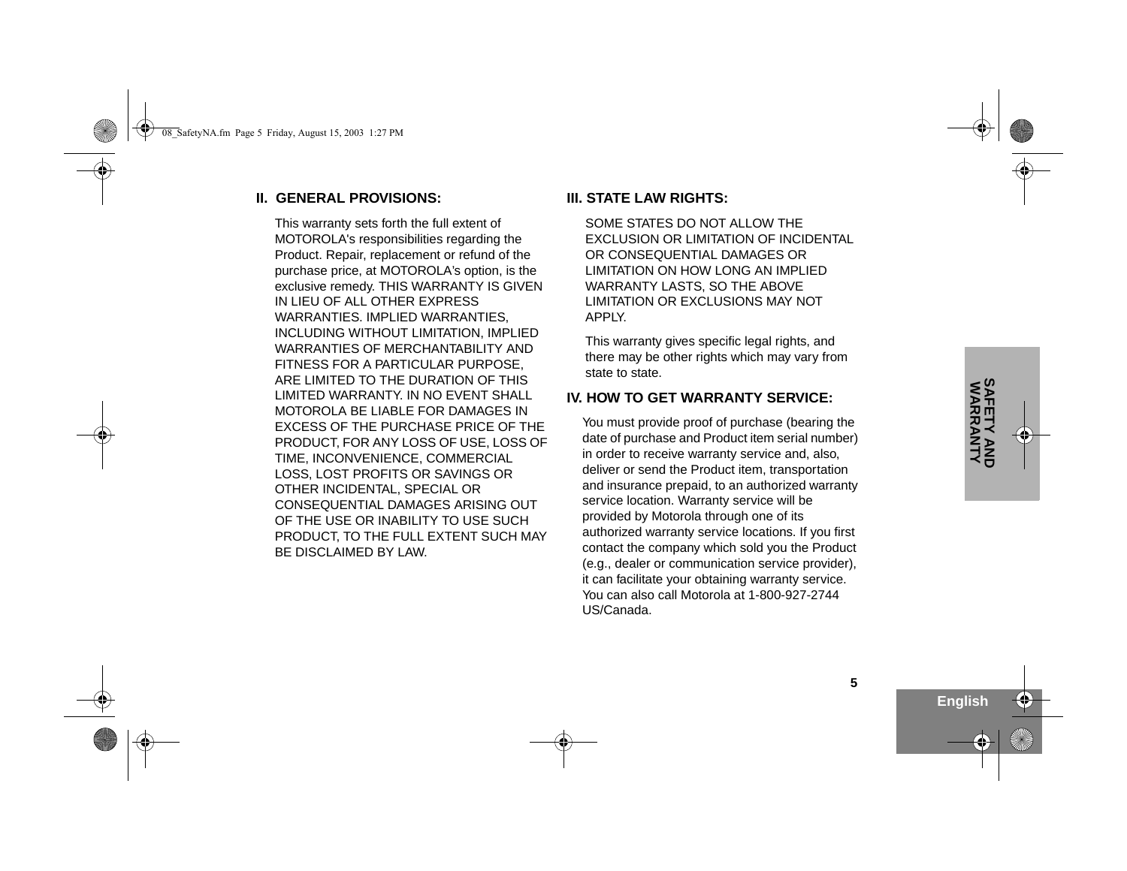#### **II. GENERAL PROVISIONS:**

This warranty sets forth the full extent of MOTOROLA's responsibilities regarding the Product. Repair, replacement or refund of the purchase price, at MOTOROLA's option, is the exclusive remedy. THIS WARRANTY IS GIVEN IN LIEU OF ALL OTHER EXPRESS WARRANTIES. IMPLIED WARRANTIES, INCLUDING WITHOUT LIMITATION, IMPLIED WARRANTIES OF MERCHANTABILITY AND FITNESS FOR A PARTICULAR PURPOSE, ARE LIMITED TO THE DURATION OF THIS LIMITED WARRANTY. IN NO EVENT SHALL MOTOROLA BE LIABLE FOR DAMAGES IN EXCESS OF THE PURCHASE PRICE OF THE PRODUCT, FOR ANY LOSS OF USE, LOSS OF TIME, INCONVENIENCE, COMMERCIAL LOSS, LOST PROFITS OR SAVINGS OR OTHER INCIDENTAL, SPECIAL OR CONSEQUENTIAL DAMAGES ARISING OUT OF THE USE OR INABILITY TO USE SUCH PRODUCT, TO THE FULL EXTENT SUCH MAY BE DISCLAIMED BY LAW.

#### **III. STATE LAW RIGHTS:**

SOME STATES DO NOT ALLOW THE EXCLUSION OR LIMITATION OF INCIDENTAL OR CONSEQUENTIAL DAMAGES OR LIMITATION ON HOW LONG AN IMPLIED WARRANTY LASTS, SO THE ABOVE LIMITATION OR EXCLUSIONS MAY NOT APPLY.

This warranty gives specific legal rights, and there may be other rights which may vary from state to state.

#### **IV. HOW TO GET WARRANTY SERVICE:**

You must provide proof of purchase (bearing the date of purchase and Product item serial number) in order to receive warranty service and, also, deliver or send the Product item, transportation and insurance prepaid, to an authorized warranty service location. Warranty service will be provided by Motorola through one of its authorized warranty service locations. If you first contact the company which sold you the Product (e.g., dealer or communication service provider), it can facilitate your obtaining warranty service. You can also call Motorola at 1-800-927-2744 US/Canada.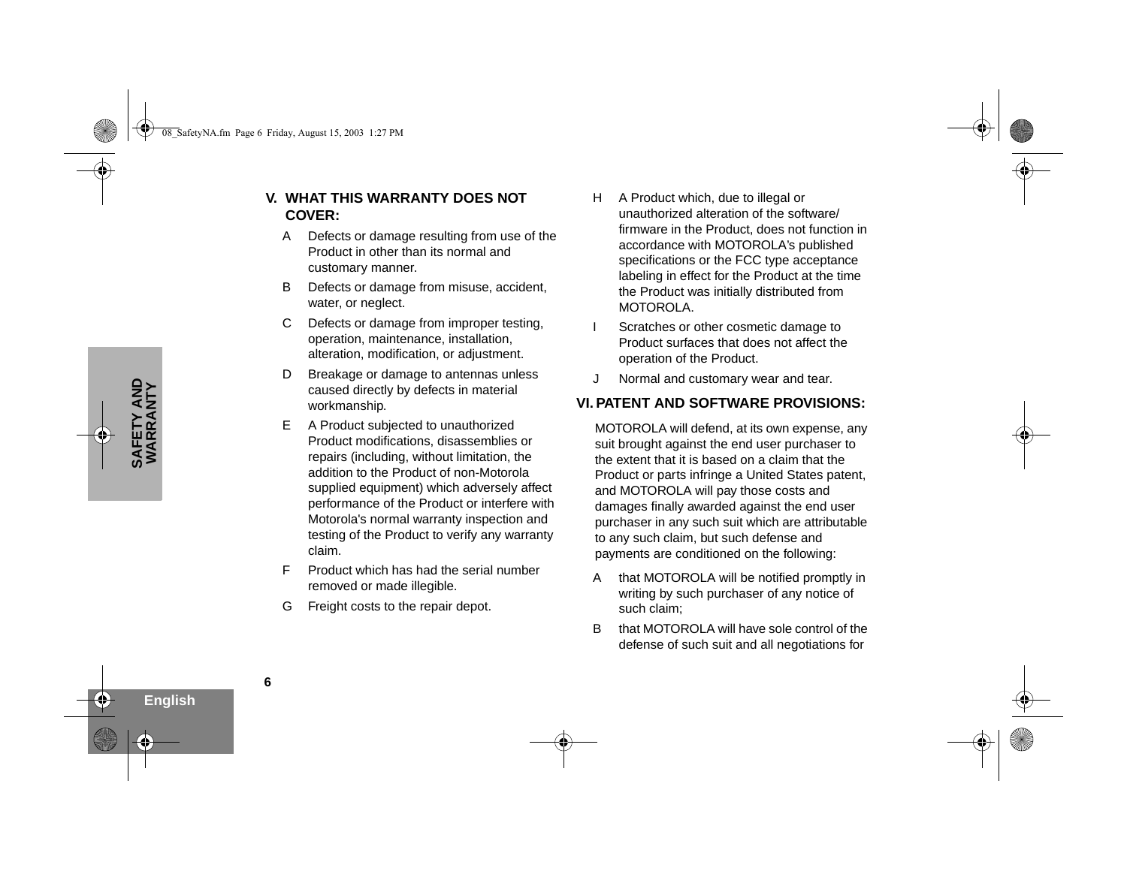- **V. WHAT THIS WARRANTY DOES NOT COVER:**
	- A Defects or damage resulting from use of the Product in other than its normal and customary manner.
	- B Defects or damage from misuse, accident, water, or neglect.
	- C Defects or damage from improper testing, operation, maintenance, installation, alteration, modification, or adjustment.
	- D Breakage or damage to antennas unless caused directly by defects in material workmanship.
	- E A Product subjected to unauthorized Product modifications, disassemblies or repairs (including, without limitation, the addition to the Product of non-Motorola supplied equipment) which adversely affect performance of the Product or interfere with Motorola's normal warranty inspection and testing of the Product to verify any warranty claim.
	- F Product which has had the serial number removed or made illegible.
	- G Freight costs to the repair depot.
- H A Product which, due to illegal or unauthorized alteration of the software/firmware in the Product, does not function in accordance with MOTOROLA's published specifications or the FCC type acceptance labeling in effect for the Product at the time the Product was initially distributed from MOTOROLA.
- Scratches or other cosmetic damage to Product surfaces that does not affect the operation of the Product.
- J Normal and customary wear and tear.

#### **VI. PATENT AND SOFTWARE PROVISIONS:**

MOTOROLA will defend, at its own expense, any suit brought against the end user purchaser to the extent that it is based on a claim that the Product or parts infringe a United States patent, and MOTOROLA will pay those costs and damages finally awarded against the end user purchaser in any such suit which are attributable to any such claim, but such defense and payments are conditioned on the following:

- A that MOTOROLA will be notified promptly in writing by such purchaser of any notice of such claim;
- B that MOTOROLA will have sole control of the defense of such suit and all negotiations for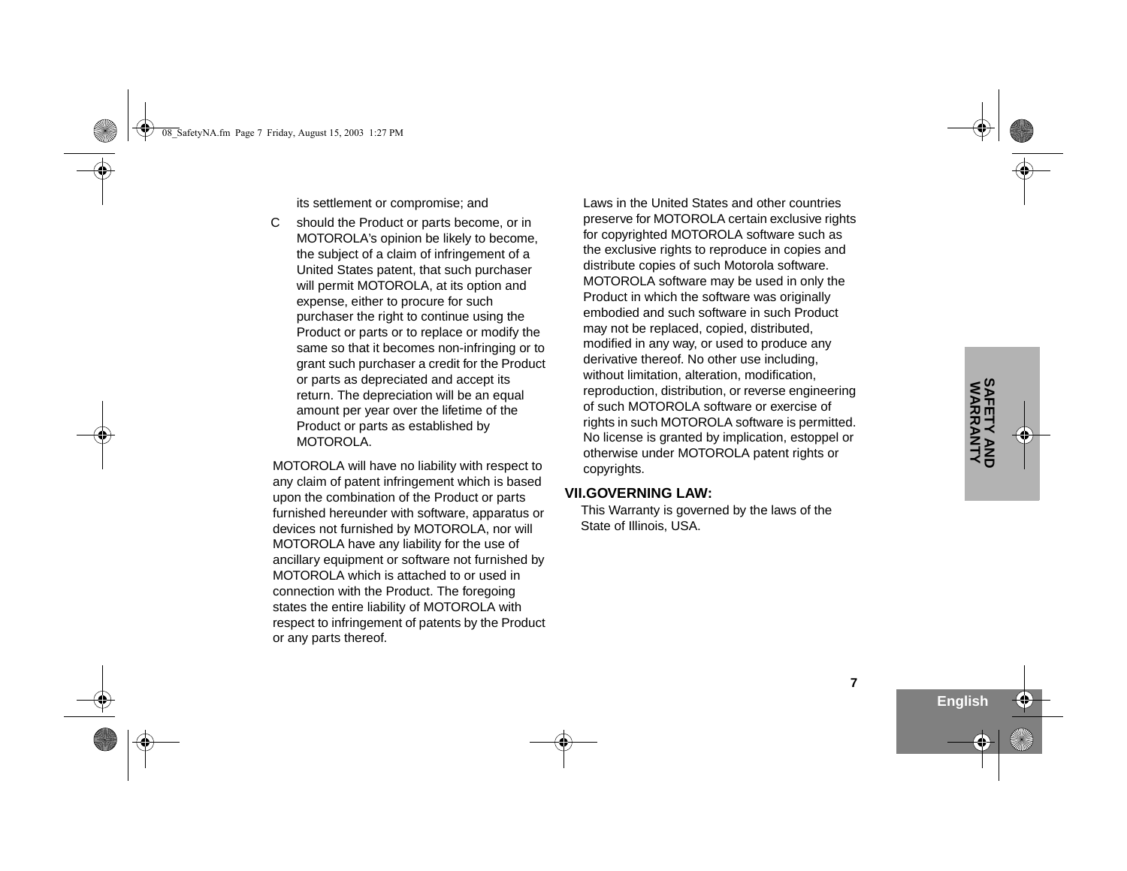its settlement or compromise; and

C should the Product or parts become, or in MOTOROLA's opinion be likely to become, the subject of a claim of infringement of a United States patent, that such purchaser will permit MOTOROLA, at its option and expense, either to procure for such purchaser the right to continue using the Product or parts or to replace or modify the same so that it becomes non-infringing or to grant such purchaser a credit for the Product or parts as depreciated and accept its return. The depreciation will be an equal amount per year over the lifetime of the Product or parts as established by MOTOROLA.

MOTOROLA will have no liability with respect to any claim of patent infringement which is based upon the combination of the Product or parts furnished hereunder with software, apparatus or devices not furnished by MOTOROLA, nor will MOTOROLA have any liability for the use of ancillary equipment or software not furnished by MOTOROLA which is attached to or used in connection with the Product. The foregoing states the entire liability of MOTOROLA with respect to infringement of patents by the Product or any parts thereof.

Laws in the United States and other countries preserve for MOTOROLA certain exclusive rights for copyrighted MOTOROLA software such as the exclusive rights to reproduce in copies and distribute copies of such Motorola software. MOTOROLA software may be used in only the Product in which the software was originally embodied and such software in such Product may not be replaced, copied, distributed, modified in any way, or used to produce any derivative thereof. No other use including, without limitation, alteration, modification, reproduction, distribution, or reverse engineering of such MOTOROLA software or exercise of rights in such MOTOROLA software is permitted. No license is granted by implication, estoppel or otherwise under MOTOROLA patent rights or copyrights.

#### **VII.GOVERNING LAW:**

This Warranty is governed by the laws of the State of Illinois, USA.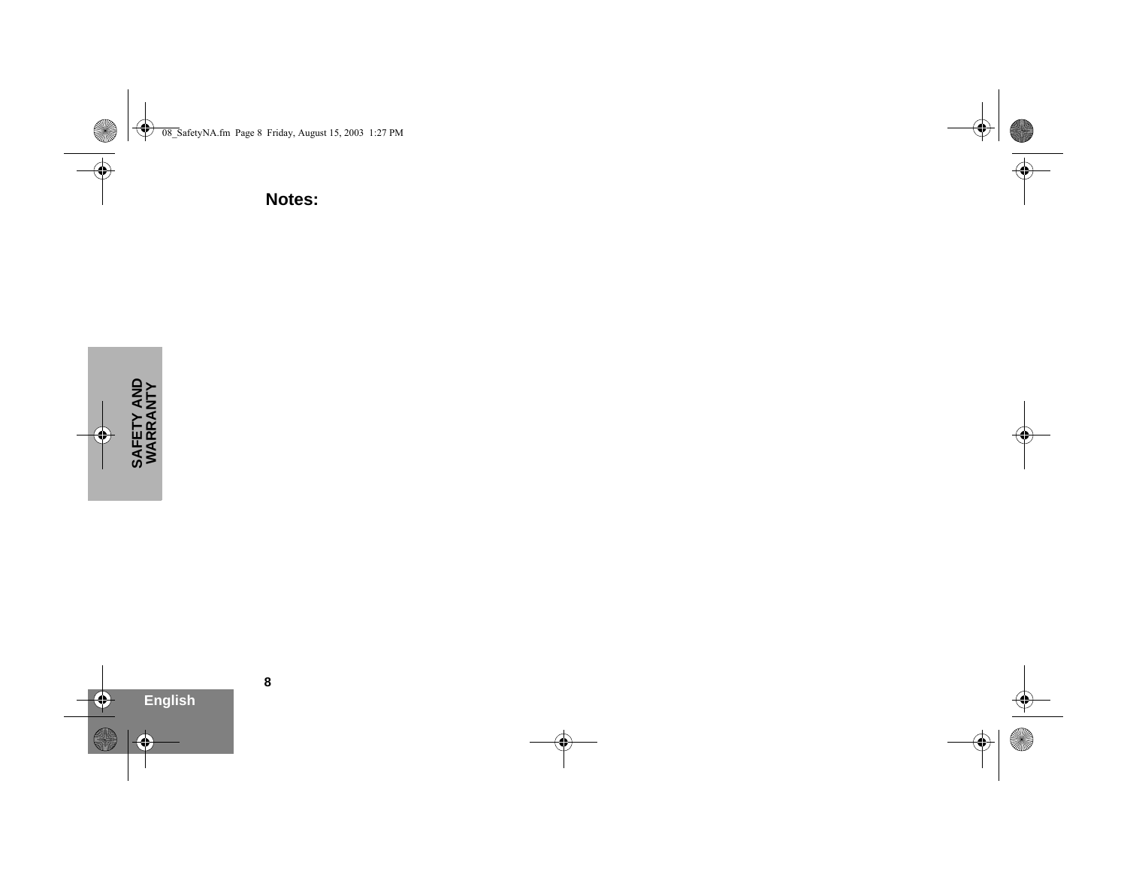**Notes:**

**8**

**English**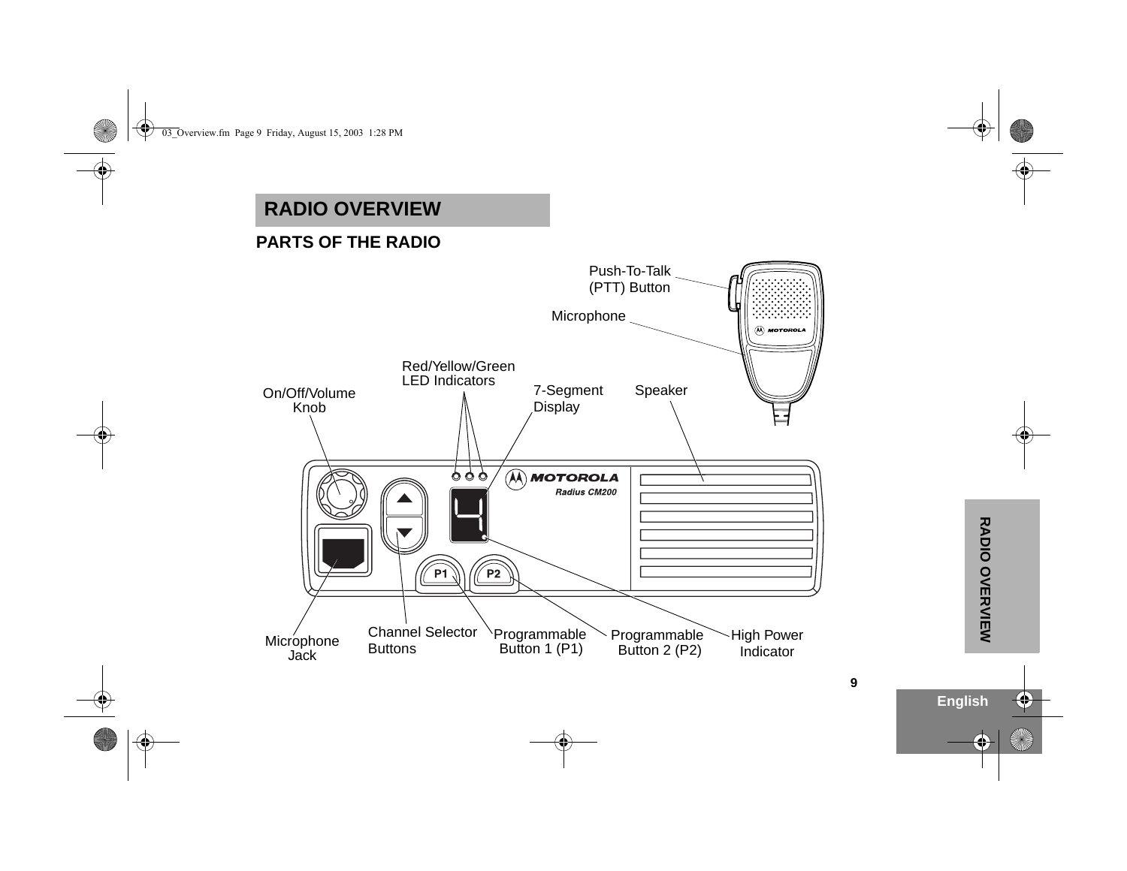## <span id="page-10-0"></span>**RADIO OVERVIEW**

### <span id="page-10-1"></span>**PARTS OF THE RADIO**

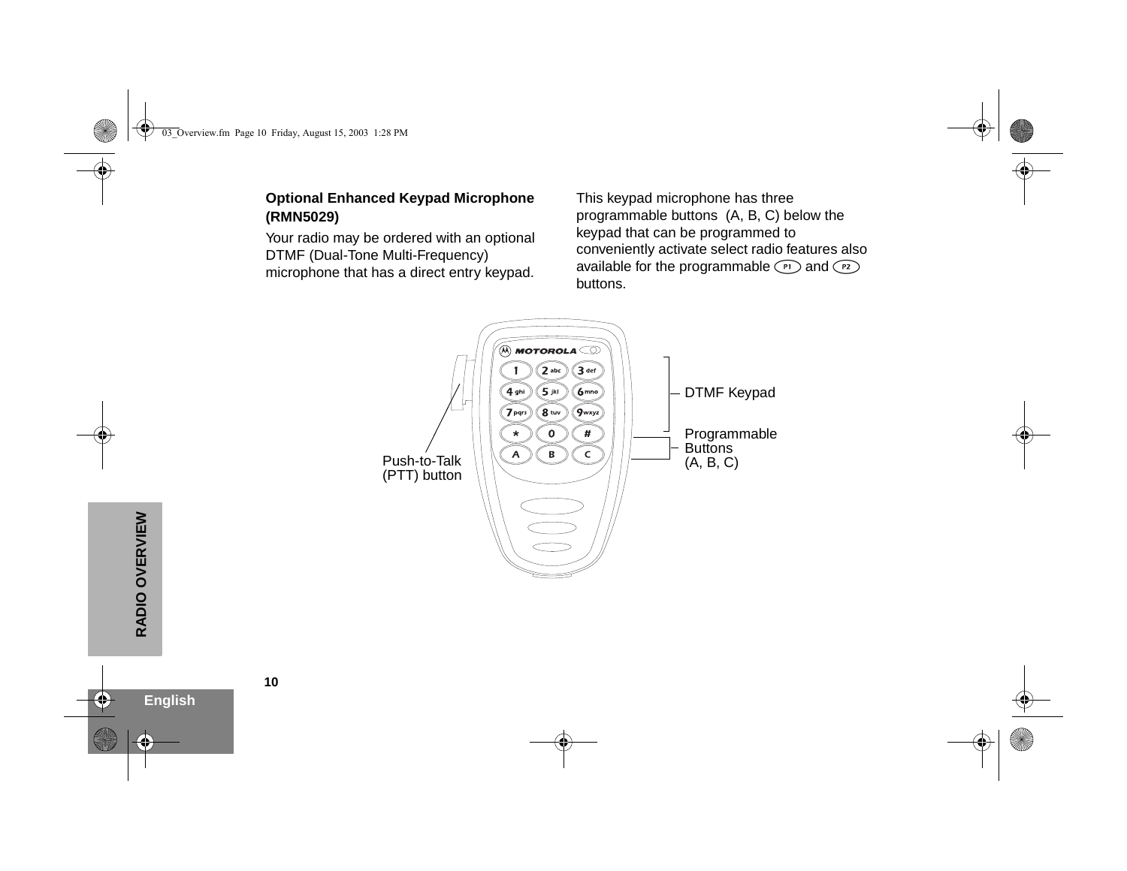#### <span id="page-11-0"></span>**Optional Enhanced Keypad Microphone (RMN5029)**

Your radio may be ordered with an optional DTMF (Dual-Tone Multi-Frequency) microphone that has a direct entry keypad. This keypad microphone has three programmable buttons (A, B, C) below the keypad that can be programmed to conveniently activate select radio features also available for the programmable  $\binom{p}{r}$  and  $\binom{p}{r}$ buttons.

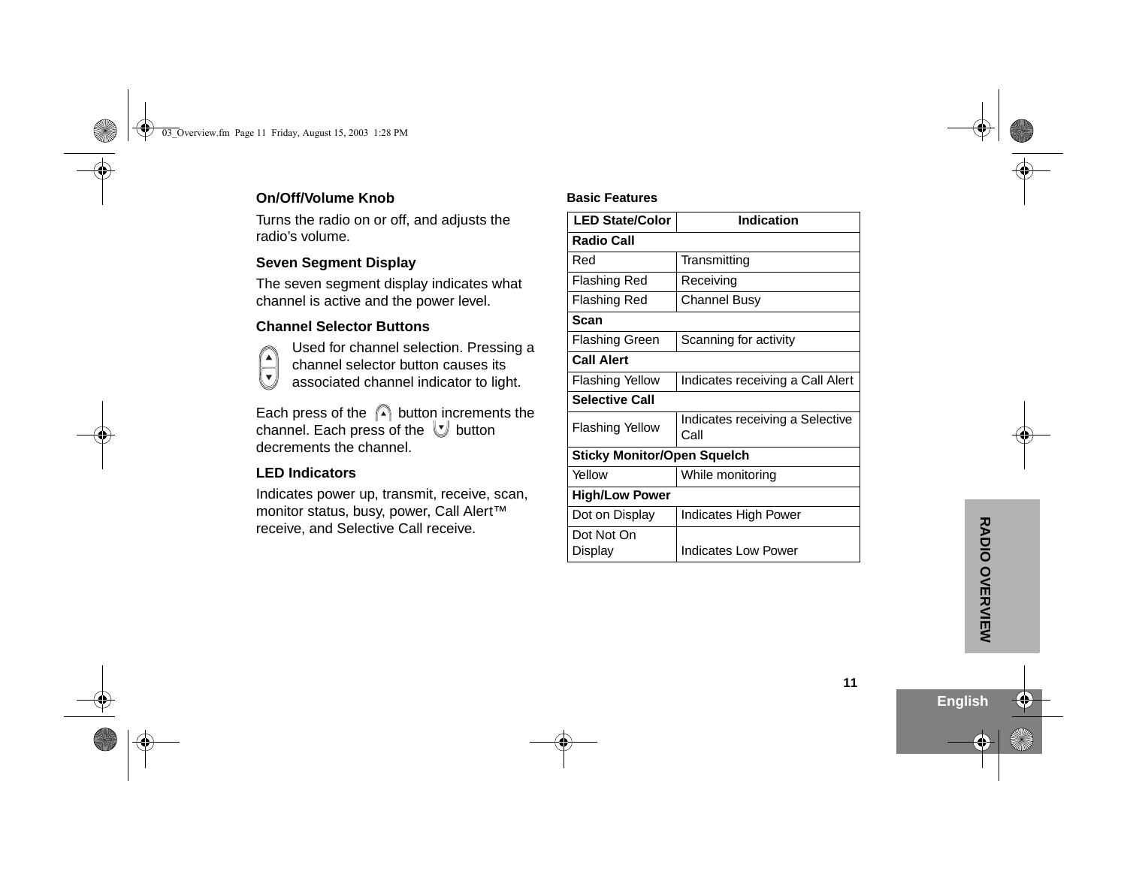#### <span id="page-12-0"></span>**On/Off/Volume Knob**

Turns the radio on or off, and adjusts the radio's volume.

#### <span id="page-12-1"></span>**Seven Segment Display**

The seven segment display indicates what channel is active and the power level.

#### <span id="page-12-2"></span>**Channel Selector Buttons**



Used for channel selection. Pressing a channel selector button causes its associated channel indicator to light.

Each press of the  $\bigcap$  button increments the channel. Each press of the  $\forall$  button decrements the channel.

#### <span id="page-12-3"></span>**LED Indicators**

Indicates power up, transmit, receive, scan, monitor status, busy, power, Call Alert™ receive, and Selective Call receive.

#### **Basic Features**

| <b>LED State/Color</b>             | <b>Indication</b>                       |  |  |  |
|------------------------------------|-----------------------------------------|--|--|--|
| <b>Radio Call</b>                  |                                         |  |  |  |
| Red                                | Transmitting                            |  |  |  |
| <b>Flashing Red</b>                | Receiving                               |  |  |  |
| <b>Flashing Red</b>                | Channel Busy                            |  |  |  |
| Scan                               |                                         |  |  |  |
| <b>Flashing Green</b>              | Scanning for activity                   |  |  |  |
| <b>Call Alert</b>                  |                                         |  |  |  |
| Flashing Yellow                    | Indicates receiving a Call Alert        |  |  |  |
| <b>Selective Call</b>              |                                         |  |  |  |
| <b>Flashing Yellow</b>             | Indicates receiving a Selective<br>Call |  |  |  |
| <b>Sticky Monitor/Open Squelch</b> |                                         |  |  |  |
| Yellow                             | While monitoring                        |  |  |  |
| <b>High/Low Power</b>              |                                         |  |  |  |
| Dot on Display                     | Indicates High Power                    |  |  |  |
| Dot Not On                         |                                         |  |  |  |
| Display                            | <b>Indicates Low Power</b>              |  |  |  |

**English**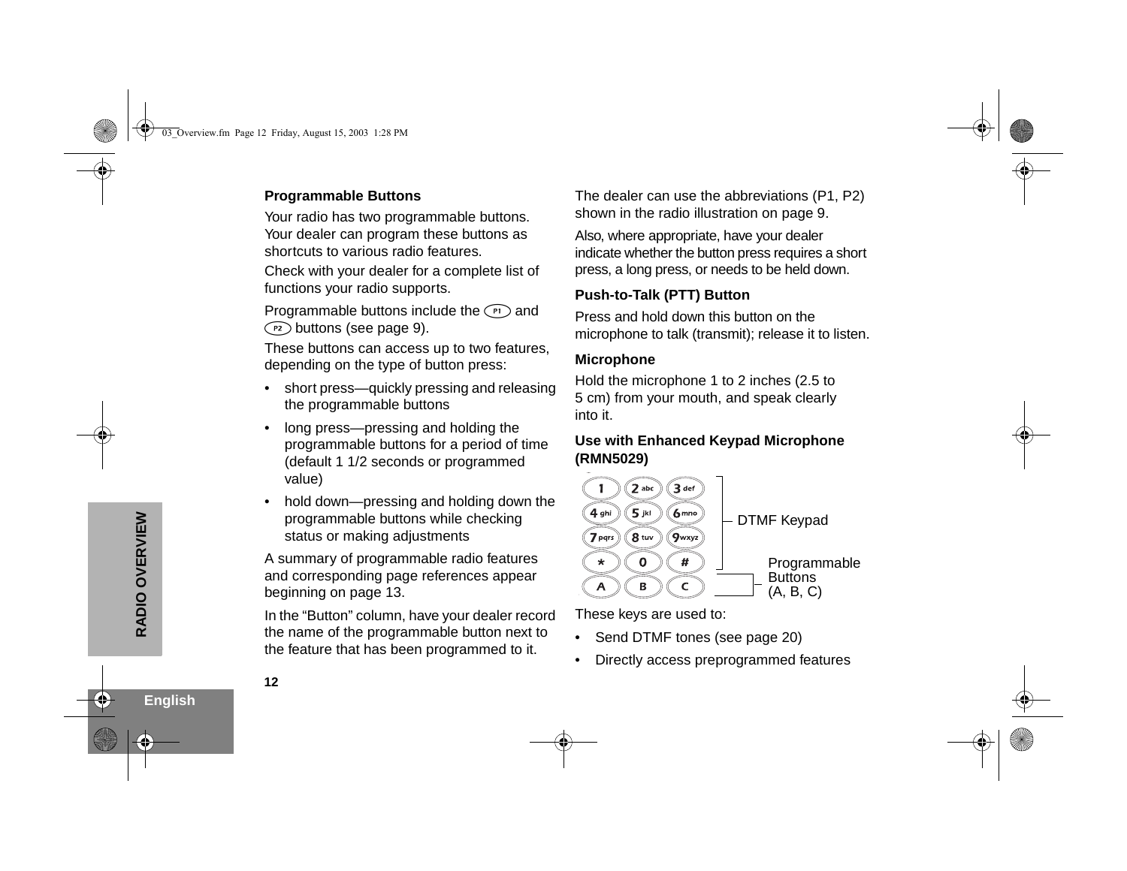#### <span id="page-13-0"></span>**Programmable Buttons**

Your radio has two programmable buttons. Your dealer can program these buttons as shortcuts to various radio features.

Check with your dealer for a complete list of functions your radio supports.

Programmable buttons include the  $\binom{r}{r}$  and  $(P<sub>2</sub>)$  buttons (see [page](#page-10-1) 9).

These buttons can access up to two features, depending on the type of button press:

- • short press—quickly pressing and releasing the programmable buttons
- • long press—pressing and holding the programmable buttons for a period of time (default 1 1/2 seconds or programmed value)
- • hold down—pressing and holding down the programmable buttons while checking status or making adjustments

A summary of programmable radio features and corresponding page references appear beginning on [page](#page-14-0) 13.

In the "Button" column, have your dealer record the name of the programmable button next to the feature that has been programmed to it.

The dealer can use the abbreviations (P1, P2) shown in the radio illustration on [page](#page-10-1) 9.

Also, where appropriate, have your dealer indicate whether the button press requires a short press, a long press, or needs to be held down.

#### <span id="page-13-1"></span>**Push-to-Talk (PTT) Button**

Press and hold down this button on the microphone to talk (transmit); release it to listen.

#### <span id="page-13-2"></span>**Microphone**

Hold the microphone 1 to 2 inches (2.5 to 5 cm) from your mouth, and speak clearly into it.

#### <span id="page-13-3"></span>**Use with Enhanced Keypad Microphone (RMN5029)**



These keys are used to:

- Send DTMF tones (see page 20)
- •Directly access preprogrammed features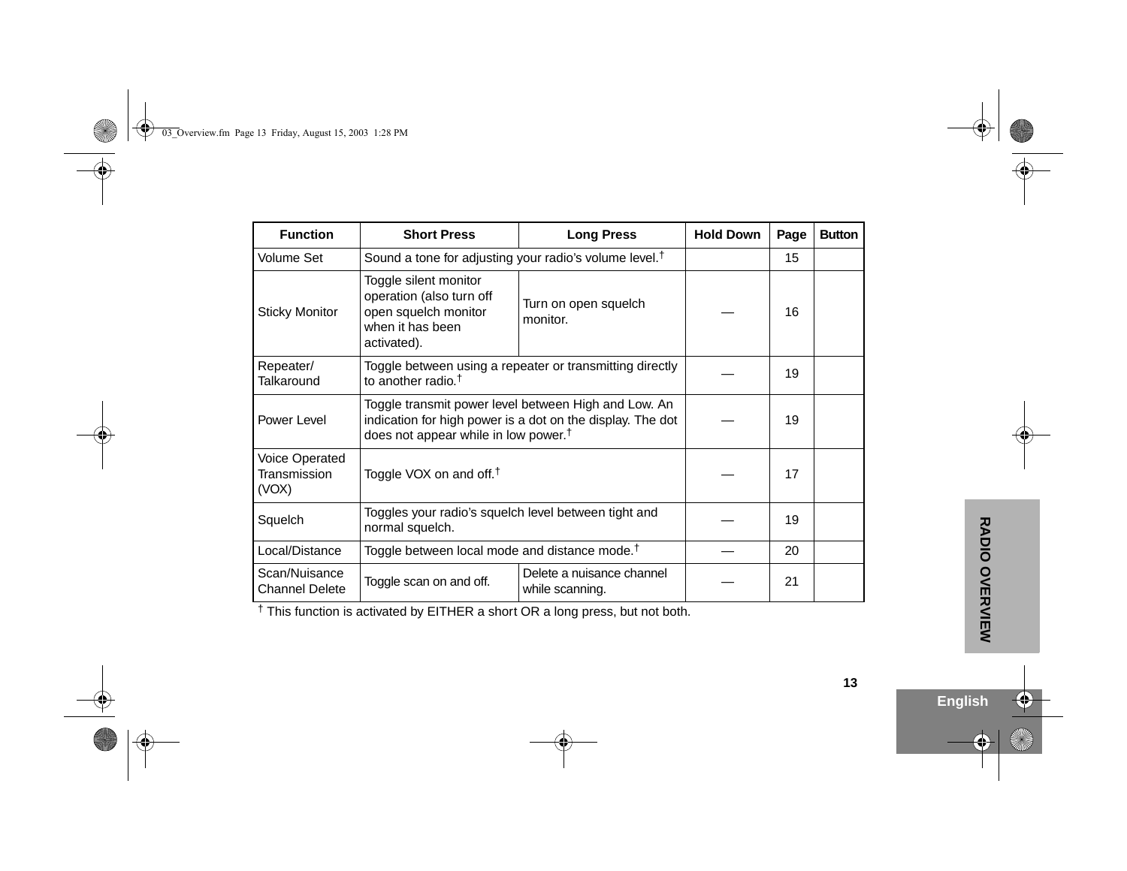<span id="page-14-0"></span>

| <b>Function</b>                         | <b>Short Press</b>                                                                                                                                                     | <b>Long Press</b>                |    | Page | <b>Button</b> |
|-----------------------------------------|------------------------------------------------------------------------------------------------------------------------------------------------------------------------|----------------------------------|----|------|---------------|
| Volume Set                              | Sound a tone for adjusting your radio's volume level. <sup>†</sup>                                                                                                     |                                  | 15 |      |               |
| <b>Sticky Monitor</b>                   | Toggle silent monitor<br>operation (also turn off<br>open squelch monitor<br>when it has been<br>activated).                                                           | Turn on open squelch<br>monitor. |    | 16   |               |
| Repeater/<br><b>Talkaround</b>          | Toggle between using a repeater or transmitting directly<br>to another radio. <sup>†</sup>                                                                             |                                  | 19 |      |               |
| Power Level                             | Toggle transmit power level between High and Low. An<br>indication for high power is a dot on the display. The dot<br>does not appear while in low power. <sup>†</sup> |                                  | 19 |      |               |
| Voice Operated<br>Transmission<br>(VOX) | Toggle VOX on and off. <sup>†</sup>                                                                                                                                    |                                  | 17 |      |               |
| Squelch                                 | Toggles your radio's squelch level between tight and<br>normal squelch.                                                                                                |                                  | 19 |      |               |
| Local/Distance                          | Toggle between local mode and distance mode. <sup>†</sup>                                                                                                              |                                  | 20 |      |               |
| Scan/Nuisance<br>Channel Delete         | Delete a nuisance channel<br>Toggle scan on and off.<br>while scanning.                                                                                                |                                  |    | 21   |               |

† This function is activated by EITHER a short OR a long press, but not both.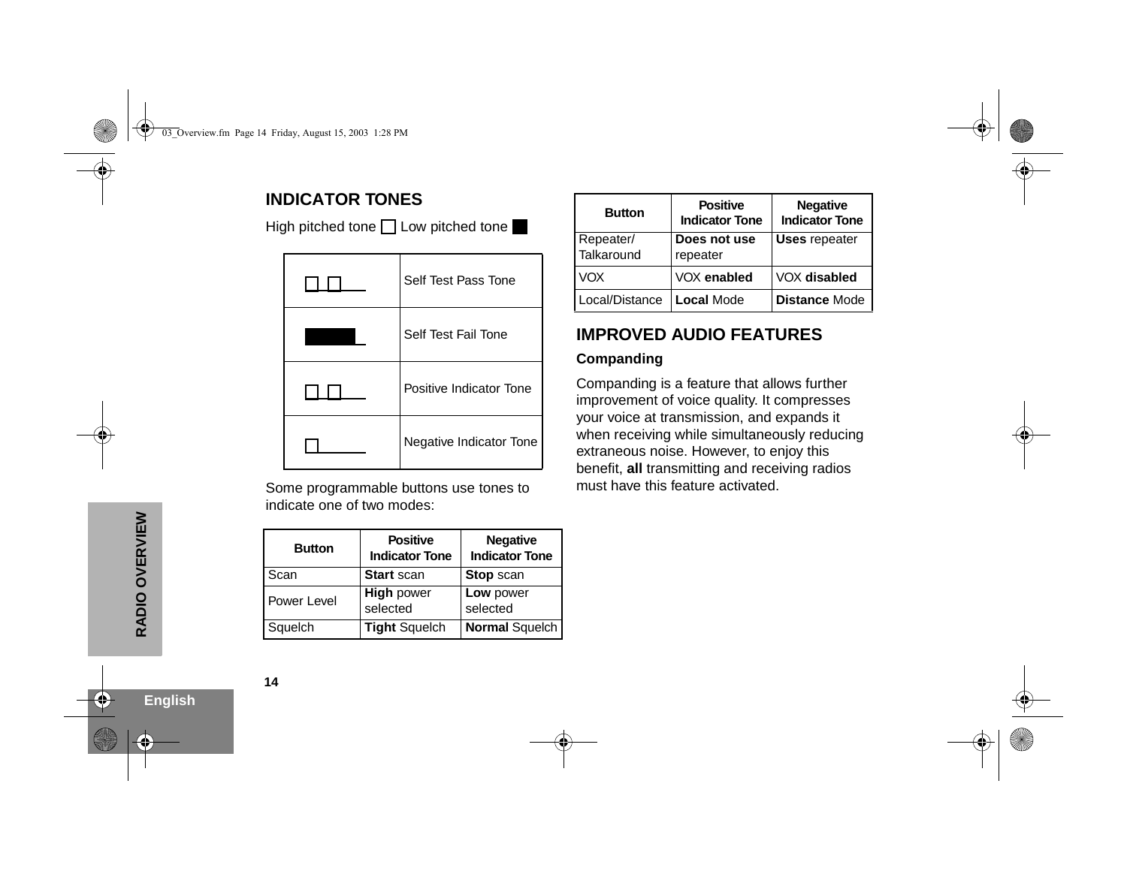### <span id="page-15-0"></span>**INDICATOR TONES**

High pitched tone Low pitched tone

| Self Test Pass Tone     |
|-------------------------|
| Self Test Fail Tone     |
| Positive Indicator Tone |
| Negative Indicator Tone |

Some programmable buttons use tones to indicate one of two modes:

| <b>Button</b> | <b>Positive</b><br><b>Indicator Tone</b> | <b>Negative</b><br><b>Indicator Tone</b> |
|---------------|------------------------------------------|------------------------------------------|
| Scan          | <b>Start scan</b>                        | <b>Stop scan</b>                         |
| Power Level   | <b>High power</b><br>selected            | Low power<br>selected                    |
| Squelch       | <b>Tight Squelch</b>                     | Normal Squelch                           |

| <b>Button</b>           | <b>Positive</b><br><b>Indicator Tone</b> | <b>Negative</b><br><b>Indicator Tone</b> |
|-------------------------|------------------------------------------|------------------------------------------|
| Repeater/<br>Talkaround | Does not use<br>repeater                 | <b>Uses repeater</b>                     |
| VOX                     | VOX enabled                              | VOX disabled                             |
| Local/Distance          | Local Mode                               | <b>Distance Mode</b>                     |

### <span id="page-15-1"></span>**IMPROVED AUDIO FEATURES**

#### <span id="page-15-2"></span>**Companding**

Companding is a feature that allows further improvement of voice quality. It compresses your voice at transmission, and expands it when receiving while simultaneously reducing extraneous noise. However, to enjoy this benefit, **all** transmitting and receiving radios must have this feature activated.

**English**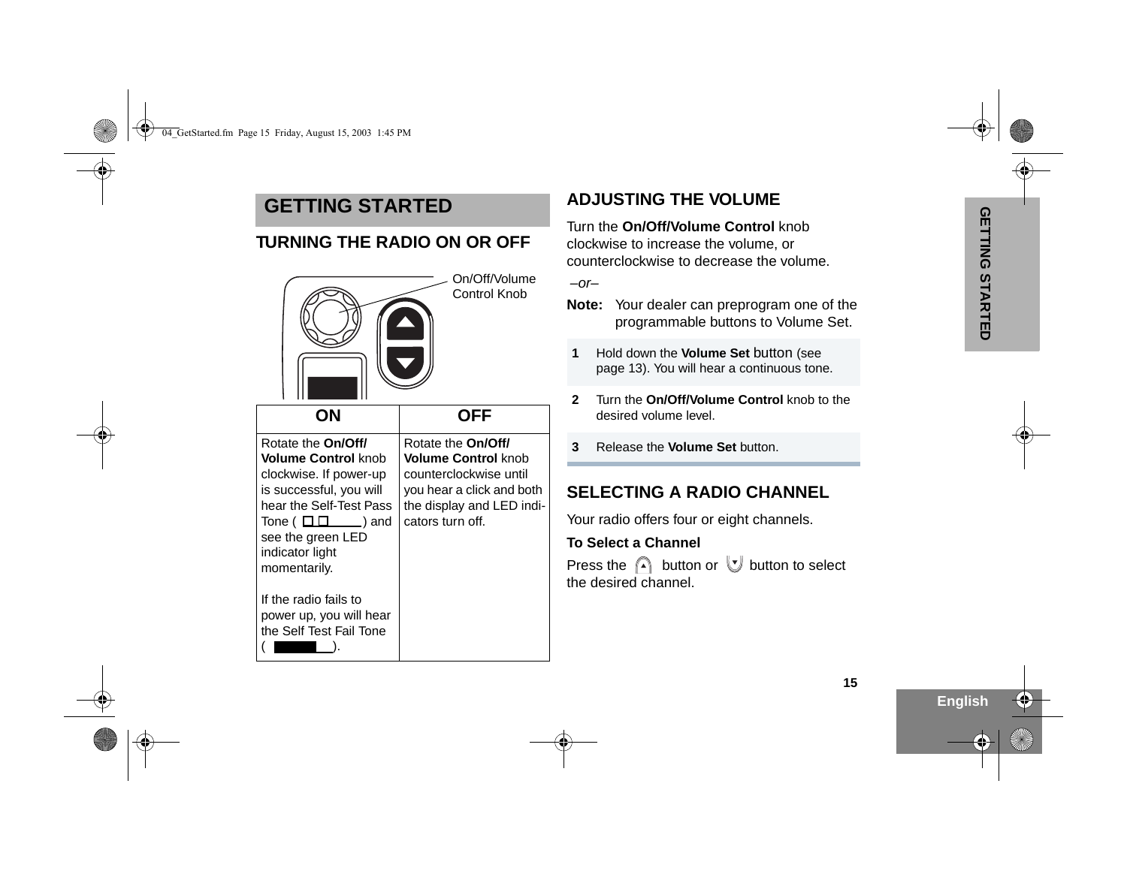### <span id="page-16-0"></span>**GETTING STARTED**

<span id="page-16-1"></span>

|                                                                                                                                                                                                                                         | FF                                                                                                                                                              |
|-----------------------------------------------------------------------------------------------------------------------------------------------------------------------------------------------------------------------------------------|-----------------------------------------------------------------------------------------------------------------------------------------------------------------|
| Rotate the <b>On/Off/</b><br><b>Volume Control knob</b><br>clockwise. If power-up<br>is successful, you will<br>hear the Self-Test Pass<br>Tone ( $\Box$ $\Box$<br>$\Box$ ) and<br>see the green LED<br>indicator light<br>momentarily. | Rotate the <b>On/Off/</b><br><b>Volume Control knob</b><br>counterclockwise until<br>you hear a click and both<br>the display and LED indi-<br>cators turn off. |
| If the radio fails to<br>power up, you will hear<br>the Self Test Fail Tone                                                                                                                                                             |                                                                                                                                                                 |

### <span id="page-16-2"></span>**ADJUSTING THE VOLUME**

Turn the **On/Off/Volume Control** knob clockwise to increase the volume, or counterclockwise to decrease the volume.

 $-$ or $-$ 

- **Note:** Your dealer can preprogram one of the programmable buttons to Volume Set.
- **1** Hold down the **Volume Set** button (see page 13). You will hear a continuous tone.
- **2** Turn the **On/Off/Volume Control** knob to the desired volume level.
- **3**Release the **Volume Set** button.

### <span id="page-16-3"></span>**SELECTING A RADIO CHANNEL**

Your radio offers four or eight channels.

#### **To Select a Channel**

Press the  $\mathbb{A}$  button or  $\mathbb{U}$  button to select the desired channel.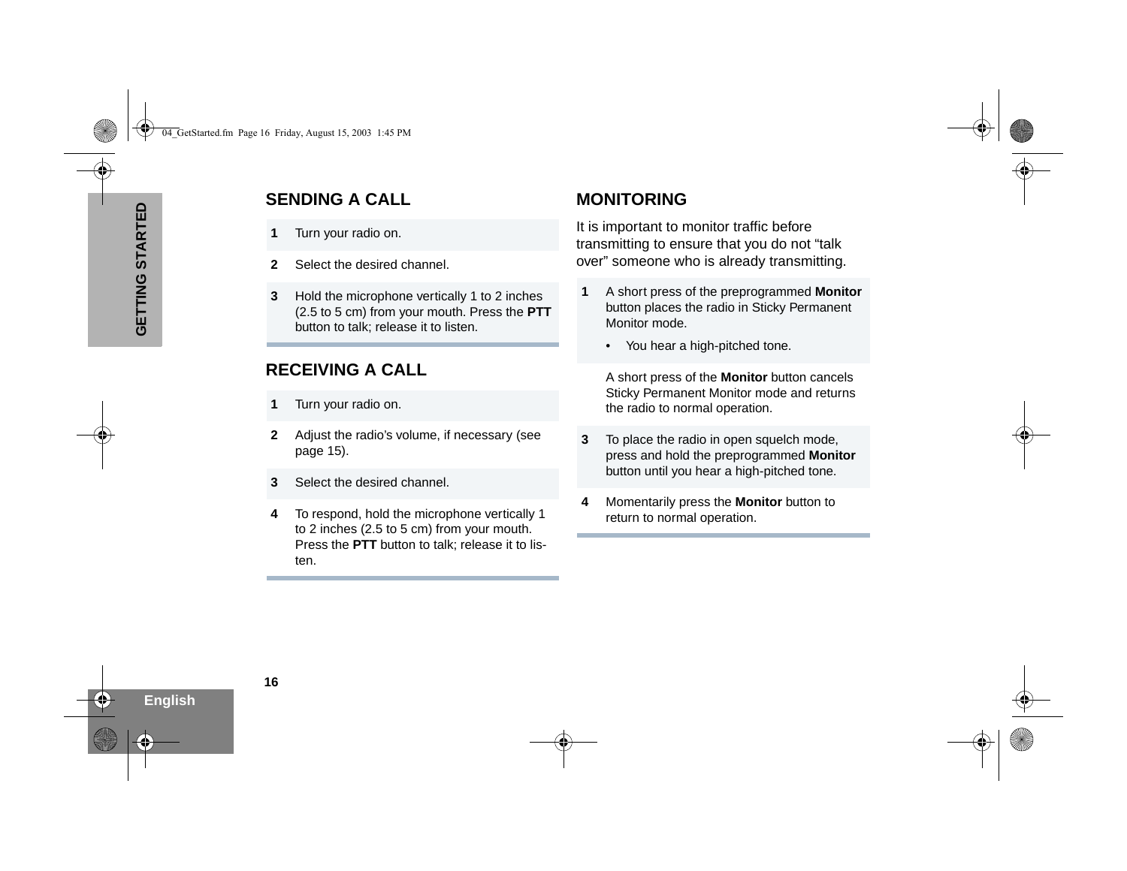- <span id="page-17-0"></span>**1**Turn your radio on.
- **2**Select the desired channel.
- **GENDING A CALL<br>
1 Turn your radio on.**<br>
2 Select the desired check<br>
3 Hold the microphone<br>
(2.5 to 5 cm) from you<br>
button to talk; releas **3** Hold the microphone vertically 1 to 2 inches (2.5 to 5 cm) from your mouth. Press the **PTT** button to talk; release it to listen.

### <span id="page-17-1"></span>**RECEIVING A CALL**

- **1**Turn your radio on.
- **2** Adjust the radio's volume, if necessary ([see](#page-16-2)  [page](#page-16-2) 15).
- **3**Select the desired channel.
- **4** To respond, hold the microphone vertically 1 to 2 inches (2.5 to 5 cm) from your mouth. Press the **PTT** button to talk; release it to listen.

### <span id="page-17-2"></span>**MONITORING**

It is important to monitor traffic before transmitting to ensure that you do not "talk over" someone who is already transmitting.

- **1** A short press of the preprogrammed **Monitor** button places the radio in Sticky Permanent Monitor mode.
	- You hear a high-pitched tone.

A short press of the **Monitor** button cancels Sticky Permanent Monitor mode and returns the radio to normal operation.

- **3**To place the radio in open squelch mode. press and hold the preprogrammed **Monitor** button until you hear a high-pitched tone.
- **4** Momentarily press the **Monitor** button to return to normal operation.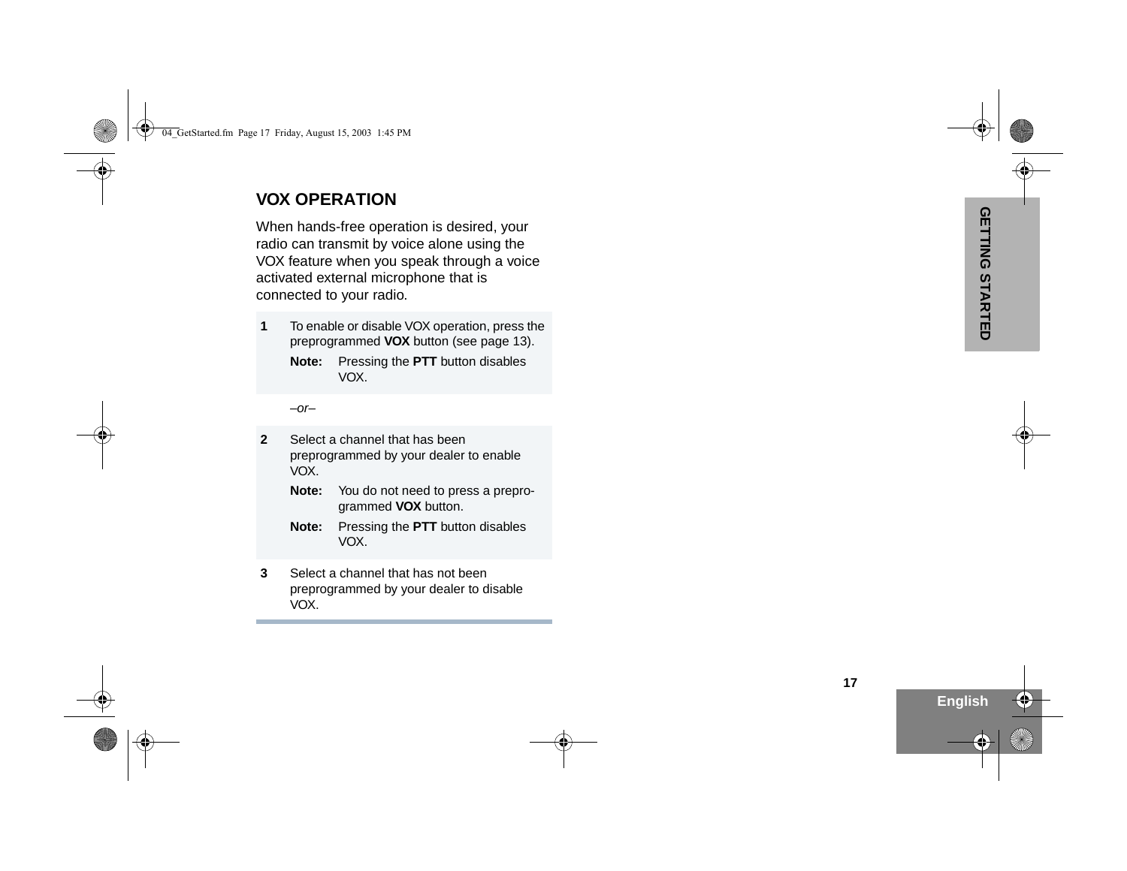### <span id="page-18-0"></span>**VOX OPERATION**

When hands-free operation is desired, your<br>
radio can transmit by voice alone using the<br>
VOX feature when you speak through a voice<br>
activated external microphone that is<br>
connected to your radio.<br>
1 To enable or disable V

**Note:** Pressing the **PTT** button disables VOX.

 $-$ or $-$ 

- **2** Select a channel that has been preprogrammed by your dealer to enable VOX.
	- **Note:** You do not need to press a preprogrammed **VOX** button.
	- **Note:** Pressing the **PTT** button disables VOX.
- **3** Select a channel that has not been preprogrammed by your dealer to disable VOX.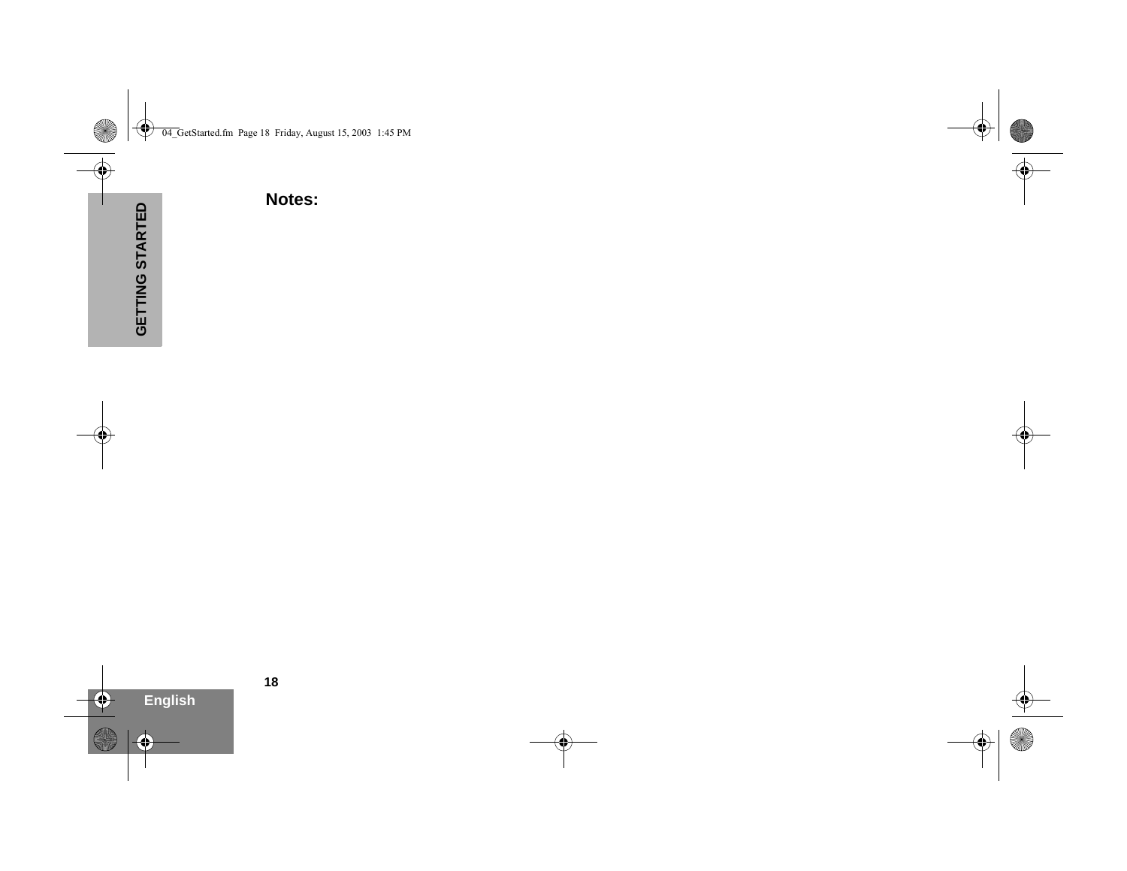**GETTING STARTEDNotes:**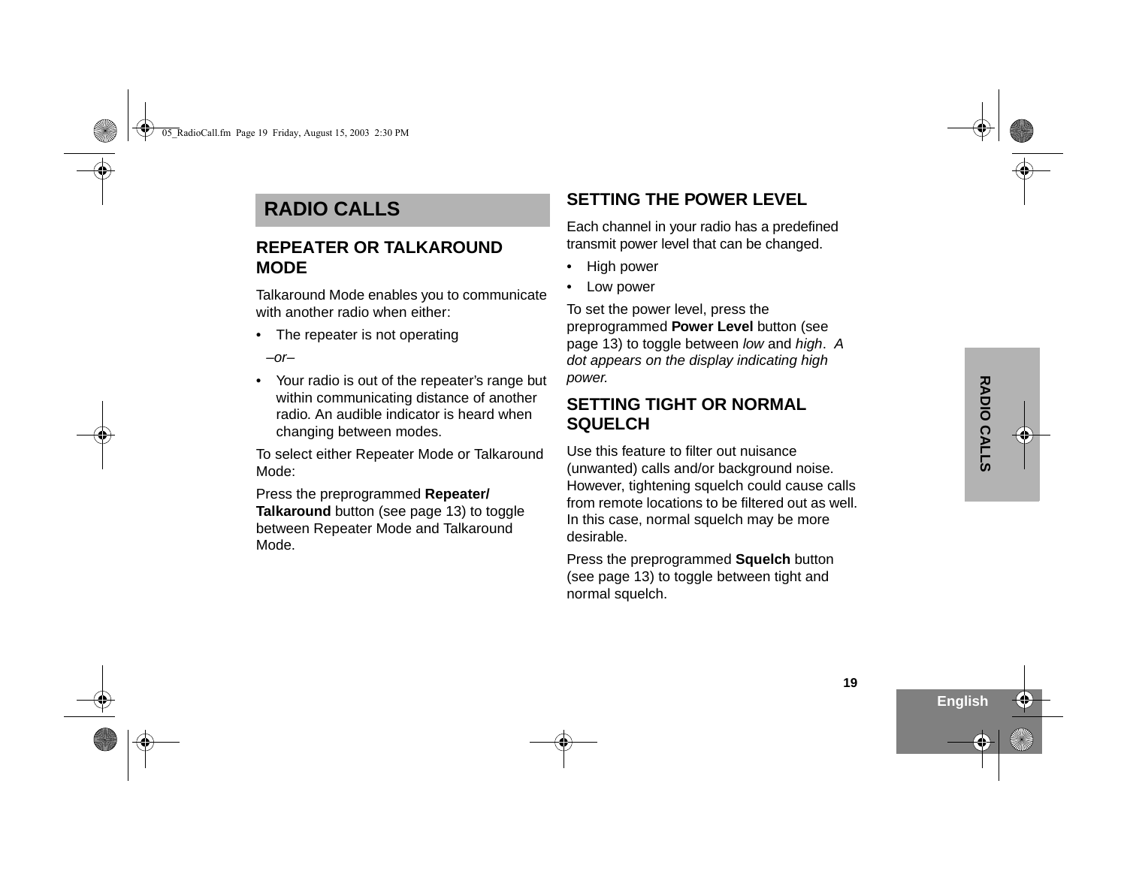## <span id="page-20-0"></span>**RADIO CALLS**

### <span id="page-20-1"></span>**REPEATER OR TALKAROUND MODE**

Talkaround Mode enables you to communicate with another radio when either:

• The repeater is not operating

 $-$ or $-$ 

• Your radio is out of the repeater's range but within communicating distance of another radio. An audible indicator is heard when changing between modes.

To select either Repeater Mode or Talkaround Mode:

Press the preprogrammed **Repeater/ Talkaround** button (see page 13) to toggle between Repeater Mode and Talkaround Mode.

### <span id="page-20-2"></span>**SETTING THE POWER LEVEL**

Each channel in your radio has a predefined transmit power level that can be changed.

- •High power
- •Low power

To set the power level, press the preprogrammed **Power Level** button (see page 13) to toggle between low and high. A dot appears on the display indicating high power.

### <span id="page-20-3"></span>**SETTING TIGHT OR NORMAL SQUELCH**

Use this feature to filter out nuisance (unwanted) calls and/or background noise. However, tightening squelch could cause calls from remote locations to be filtered out as well. In this case, normal squelch may be more desirable.

Press the preprogrammed **Squelch** button (see page 13) to toggle between tight and normal squelch.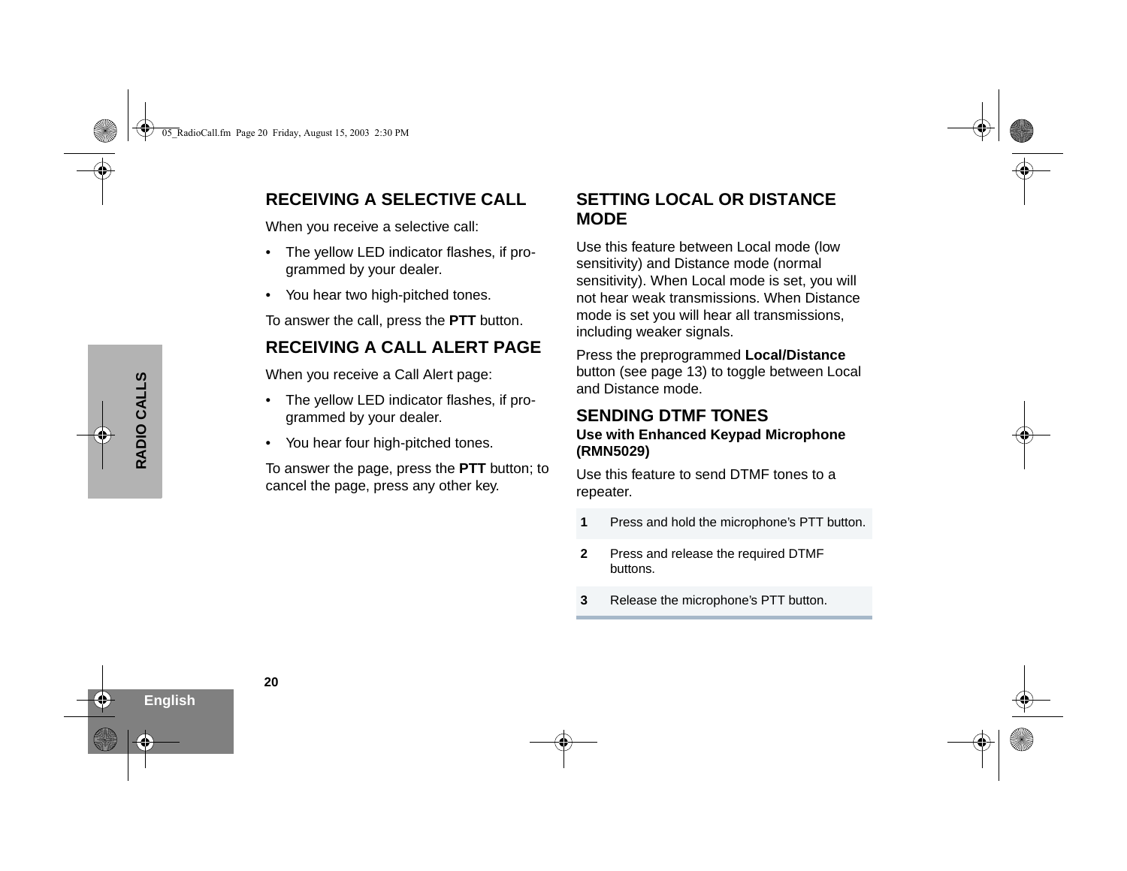### <span id="page-21-0"></span>**RECEIVING A SELECTIVE CALL**

When you receive a selective call:

- • The yellow LED indicator flashes, if programmed by your dealer.
- You hear two high-pitched tones.

To answer the call, press the **PTT** button.

### <span id="page-21-1"></span>**RECEIVING A CALL ALERT PAGE**

When you receive a Call Alert page:

- The yellow LED indicator flashes, if programmed by your dealer.
- •You hear four high-pitched tones.

To answer the page, press the **PTT** button; to cancel the page, press any other key.

### <span id="page-21-2"></span>**SETTING LOCAL OR DISTANCE MODE**

Use this feature between Local mode (low sensitivity) and Distance mode (normal sensitivity). When Local mode is set, you will not hear weak transmissions. When Distance mode is set you will hear all transmissions, including weaker signals.

Press the preprogrammed **Local/Distance** button (see page 13) to toggle between Local and Distance mode.

#### <span id="page-21-3"></span>**SENDING DTMF TONESUse with Enhanced Keypad Microphone (RMN5029)**

Use this feature to send DTMF tones to a repeater.

- **1**Press and hold the microphone's PTT button.
- **2** Press and release the required DTMF buttons.
- **3**Release the microphone's PTT button.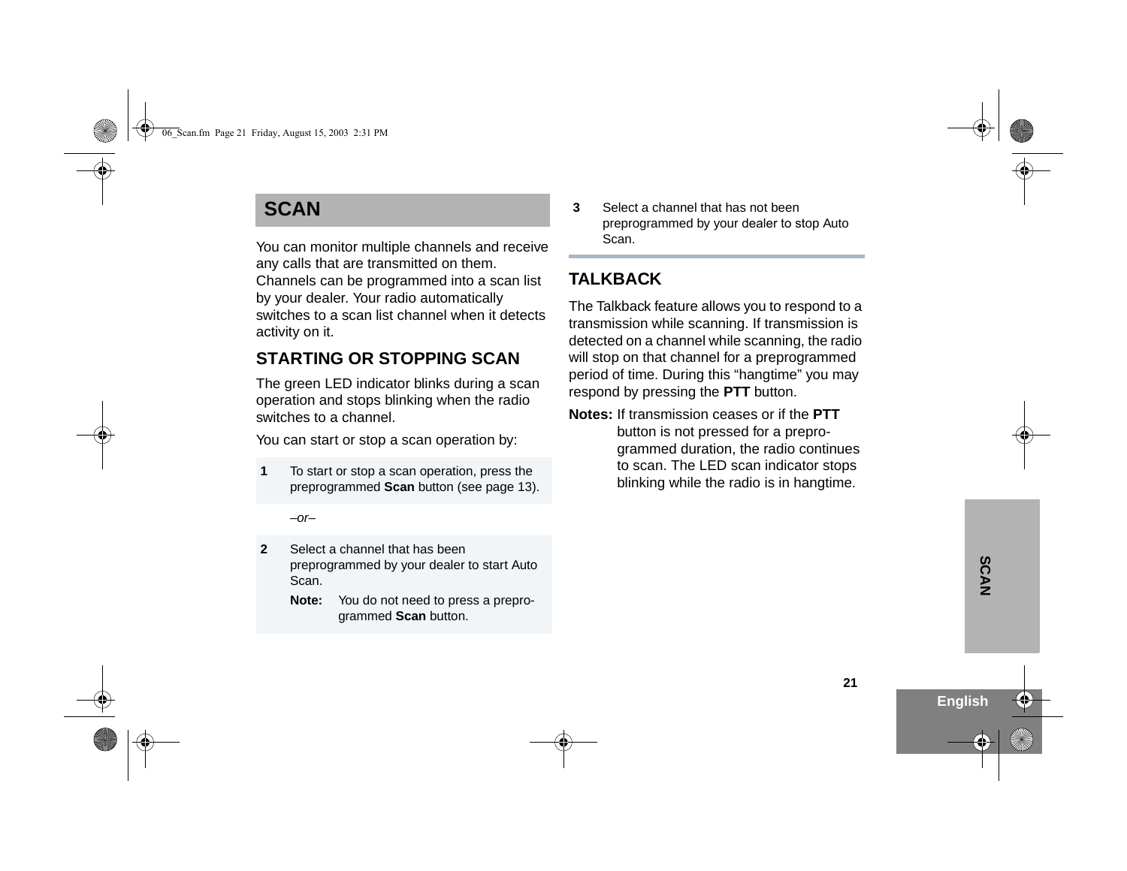## <span id="page-22-0"></span>**SCAN**

You can monitor multiple channels and receive any calls that are transmitted on them. Channels can be programmed into a scan list by your dealer. Your radio automatically switches to a scan list channel when it detects activity on it.

### <span id="page-22-1"></span>**STARTING OR STOPPING SCAN**

The green LED indicator blinks during a scan operation and stops blinking when the radio switches to a channel.

You can start or stop a scan operation by:

**1** To start or stop a scan operation, press the preprogrammed **Scan** button (see page 13).

 $-$ or $-$ 

- **2** Select a channel that has been preprogrammed by your dealer to start Auto Scan.
	- **Note:** You do not need to press a preprogrammed **Scan** button.

**3** Select a channel that has not been preprogrammed by your dealer to stop Auto Scan.

### <span id="page-22-2"></span>**TAI KRACK**

The Talkback feature allows you to respond to a transmission while scanning. If transmission is detected on a channel while scanning, the radio will stop on that channel for a preprogrammed period of time. During this "hangtime" you may respond by pressing the **PTT** button.

**Notes:** If transmission ceases or if the **PTT**button is not pressed for a preprogrammed duration, the radio continues to scan. The LED scan indicator stops blinking while the radio is in hangtime.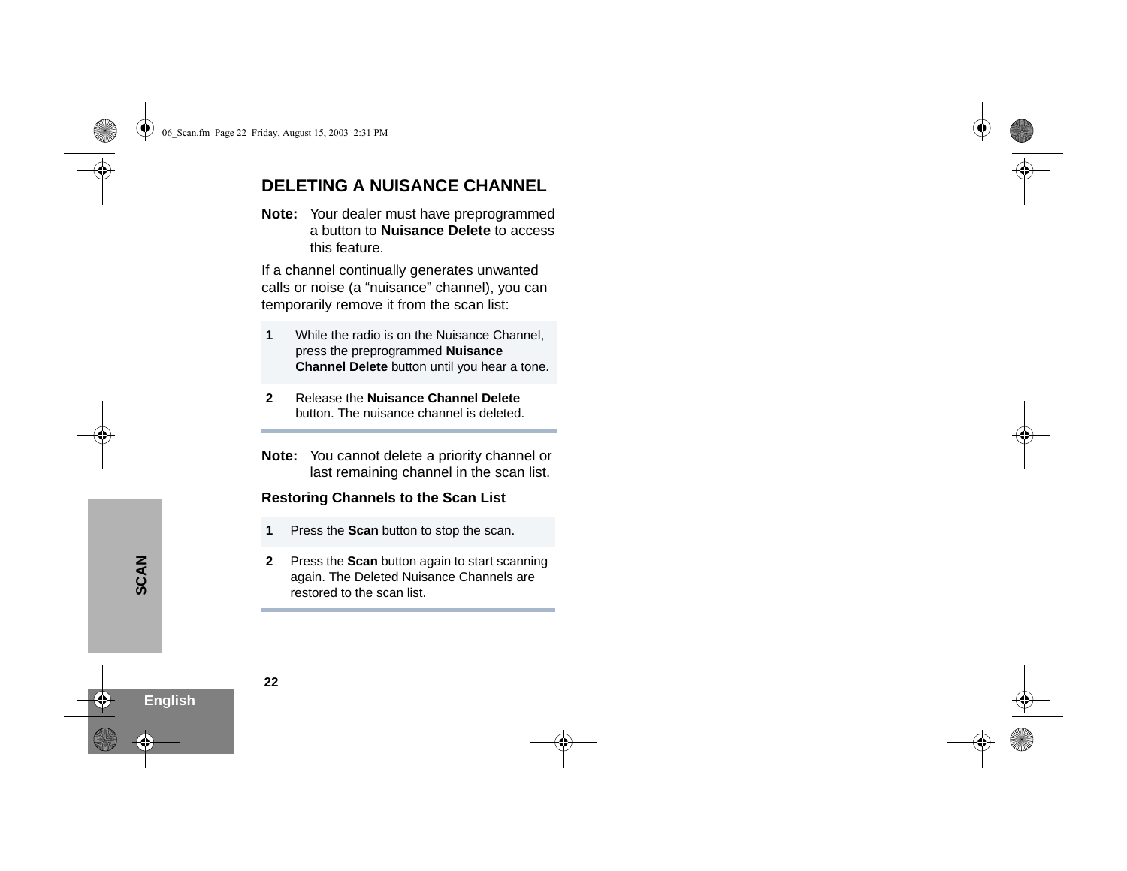### <span id="page-23-0"></span>**DELETING A NUISANCE CHANNEL**

**Note:** Your dealer must have preprogrammed a button to **Nuisance Delete** to access this feature.

If a channel continually generates unwanted calls or noise (a "nuisance" channel), you can temporarily remove it from the scan list:

- **1** While the radio is on the Nuisance Channel, press the preprogrammed **Nuisance Channel Delete** button until you hear a tone.
- **2** Release the **Nuisance Channel Delete** button. The nuisance channel is deleted.
- **Note:** You cannot delete a priority channel or last remaining channel in the scan list.

#### <span id="page-23-1"></span>**Restoring Channels to the Scan List**

- **1**Press the **Scan** button to stop the scan.
- **2** Press the **Scan** button again to start scanning again. The Deleted Nuisance Channels are restored to the scan list.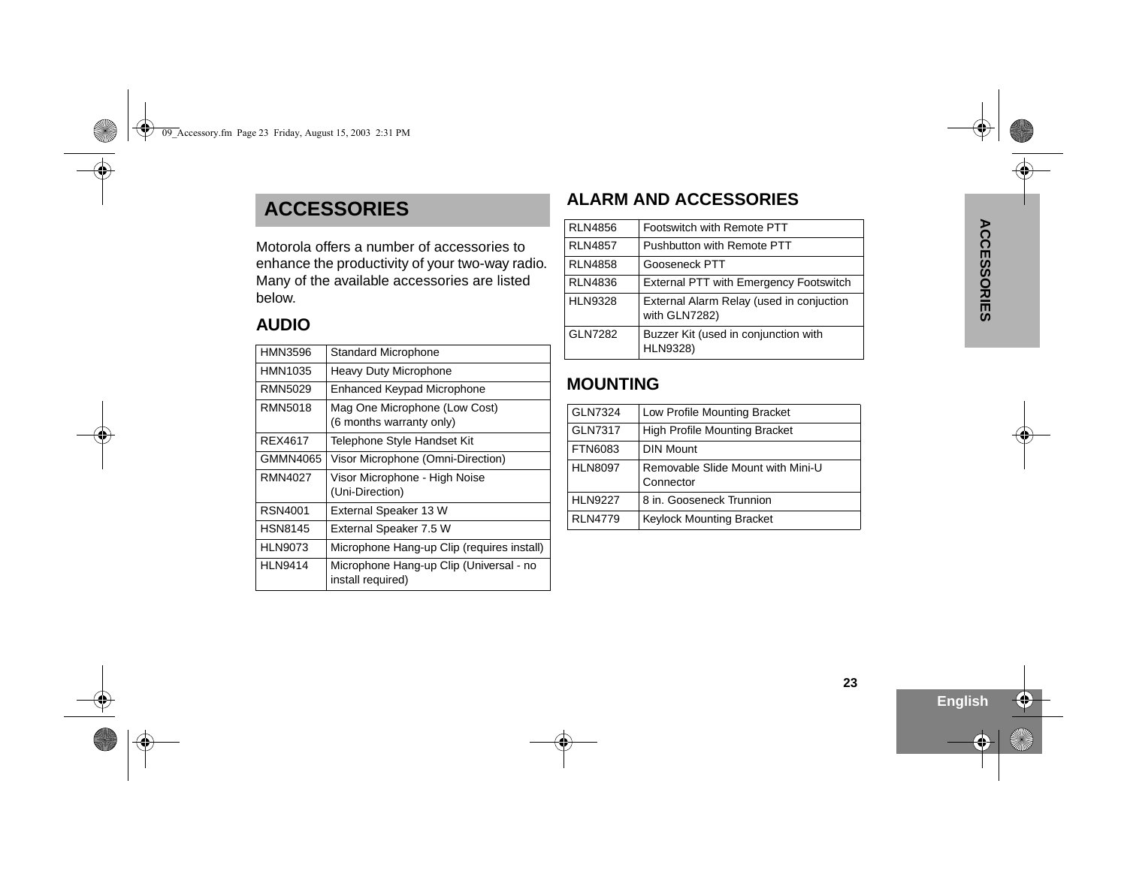## **ACCESSORIES**

| HMN3596        | <b>Standard Microphone</b>                                   |
|----------------|--------------------------------------------------------------|
| HMN1035        | Heavy Duty Microphone                                        |
| RMN5029        | Enhanced Keypad Microphone                                   |
| RMN5018        | Mag One Microphone (Low Cost)<br>(6 months warranty only)    |
| REX4617        | Telephone Style Handset Kit                                  |
| GMMN4065       | Visor Microphone (Omni-Direction)                            |
| <b>RMN4027</b> | Visor Microphone - High Noise<br>(Uni-Direction)             |
| RSN4001        | External Speaker 13 W                                        |
| <b>HSN8145</b> | External Speaker 7.5 W                                       |
| <b>HLN9073</b> | Microphone Hang-up Clip (requires install)                   |
| <b>HLN9414</b> | Microphone Hang-up Clip (Universal - no<br>install required) |

### <span id="page-24-0"></span>**ALARM AND ACCESSORIES**

|                                            |                                                 | <b>RLN4856</b> | Footswitch with Remote PTT                    |          |
|--------------------------------------------|-------------------------------------------------|----------------|-----------------------------------------------|----------|
| Motorola offers a number of accessories to |                                                 | <b>RLN4857</b> | Pushbutton with Remote PTT                    |          |
|                                            | enhance the productivity of your two-way radio. | <b>RLN4858</b> | <b>Gooseneck PTT</b>                          | ரு<br>ഗ  |
|                                            | Many of the available accessories are listed    | <b>RLN4836</b> | <b>External PTT with Emergency Footswitch</b> |          |
| below.                                     |                                                 | <b>HLN9328</b> | External Alarm Relay (used in conjuction      |          |
| <b>AUDIO</b>                               |                                                 |                | with GLN7282)                                 | <u>ლ</u> |
|                                            |                                                 | GLN7282        | Buzzer Kit (used in conjunction with          |          |
| <b>HMN3596</b>                             | <b>Standard Microphone</b>                      |                | <b>HLN9328)</b>                               |          |

### <span id="page-24-1"></span>**MOUNTING**

| <b>GLN7324</b> | Low Profile Mounting Bracket                   |
|----------------|------------------------------------------------|
| <b>GLN7317</b> | <b>High Profile Mounting Bracket</b>           |
| <b>FTN6083</b> | <b>DIN Mount</b>                               |
| <b>HLN8097</b> | Removable Slide Mount with Mini-U<br>Connector |
| <b>HLN9227</b> | 8 in. Gooseneck Trunnion                       |
| <b>RLN4779</b> | <b>Keylock Mounting Bracket</b>                |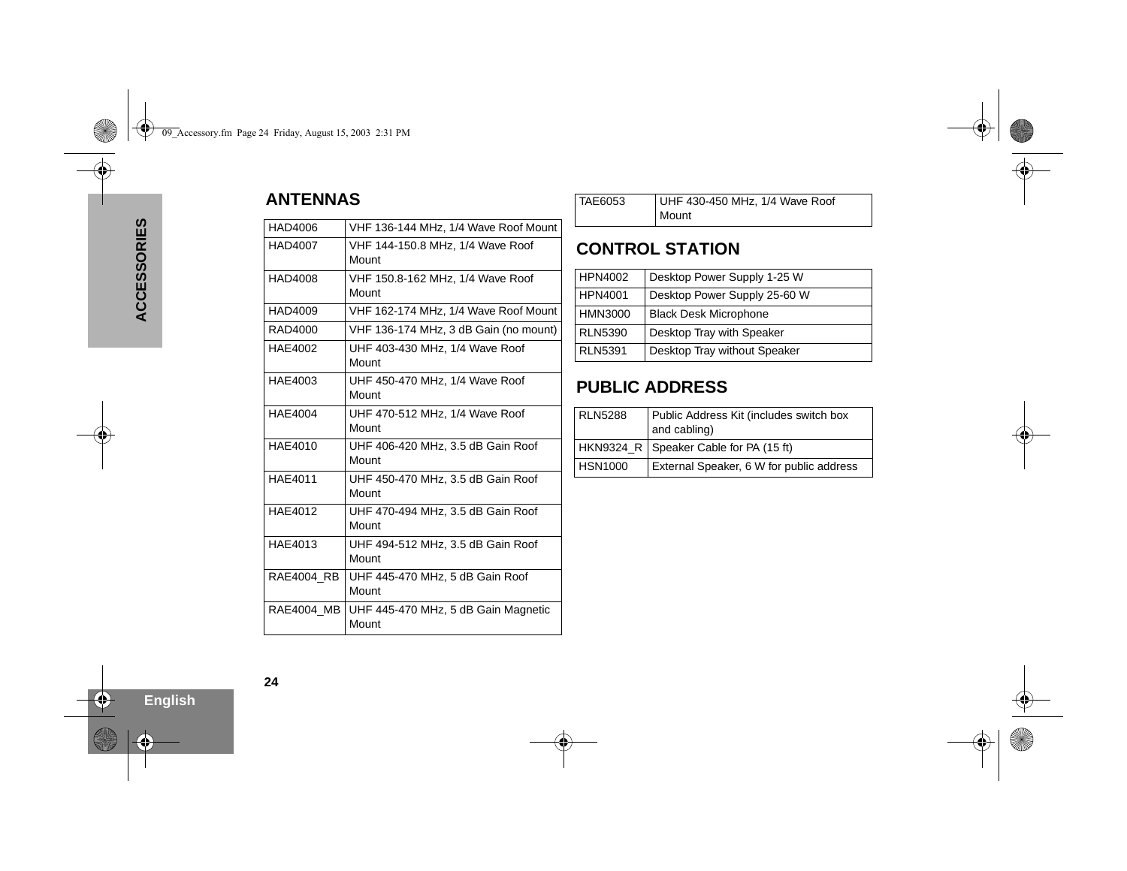### <span id="page-25-0"></span>**ANTENNAS**

| HAD4006           | VHF 136-144 MHz, 1/4 Wave Roof Mount         |
|-------------------|----------------------------------------------|
| <b>HAD4007</b>    | VHF 144-150.8 MHz, 1/4 Wave Roof<br>Mount    |
| HAD4008           | VHF 150.8-162 MHz, 1/4 Wave Roof<br>Mount    |
| HAD4009           | VHF 162-174 MHz, 1/4 Wave Roof Mount         |
| RAD4000           | VHF 136-174 MHz, 3 dB Gain (no mount)        |
| HAE4002           | UHF 403-430 MHz, 1/4 Wave Roof<br>Mount      |
| HAE4003           | UHF 450-470 MHz, 1/4 Wave Roof<br>Mount      |
| <b>HAE4004</b>    | UHF 470-512 MHz, 1/4 Wave Roof<br>Mount      |
| HAE4010           | UHF 406-420 MHz, 3.5 dB Gain Roof<br>Mount   |
| <b>HAE4011</b>    | UHF 450-470 MHz, 3.5 dB Gain Roof<br>Mount   |
| HAE4012           | UHF 470-494 MHz, 3.5 dB Gain Roof<br>Mount   |
| HAE4013           | UHF 494-512 MHz, 3.5 dB Gain Roof<br>Mount   |
| <b>RAE4004 RB</b> | UHF 445-470 MHz, 5 dB Gain Roof<br>Mount     |
| <b>RAE4004 MB</b> | UHF 445-470 MHz, 5 dB Gain Magnetic<br>Mount |
|                   |                                              |

TAE6053 UHF 430-450 MHz, 1/4 Wave Roof Mount

### <span id="page-25-1"></span>**CONTROL STATION**

| <b>HPN4002</b> | Desktop Power Supply 1-25 W  |
|----------------|------------------------------|
| <b>HPN4001</b> | Desktop Power Supply 25-60 W |
| <b>HMN3000</b> | <b>Black Desk Microphone</b> |
| <b>RLN5390</b> | Desktop Tray with Speaker    |
| <b>RLN5391</b> | Desktop Tray without Speaker |

### <span id="page-25-2"></span>**PUBLIC ADDRESS**

| <b>RLN5288</b> | Public Address Kit (includes switch box<br>and cabling) |  |
|----------------|---------------------------------------------------------|--|
|                | HKN9324_R   Speaker Cable for PA (15 ft)                |  |
| <b>HSN1000</b> | External Speaker, 6 W for public address                |  |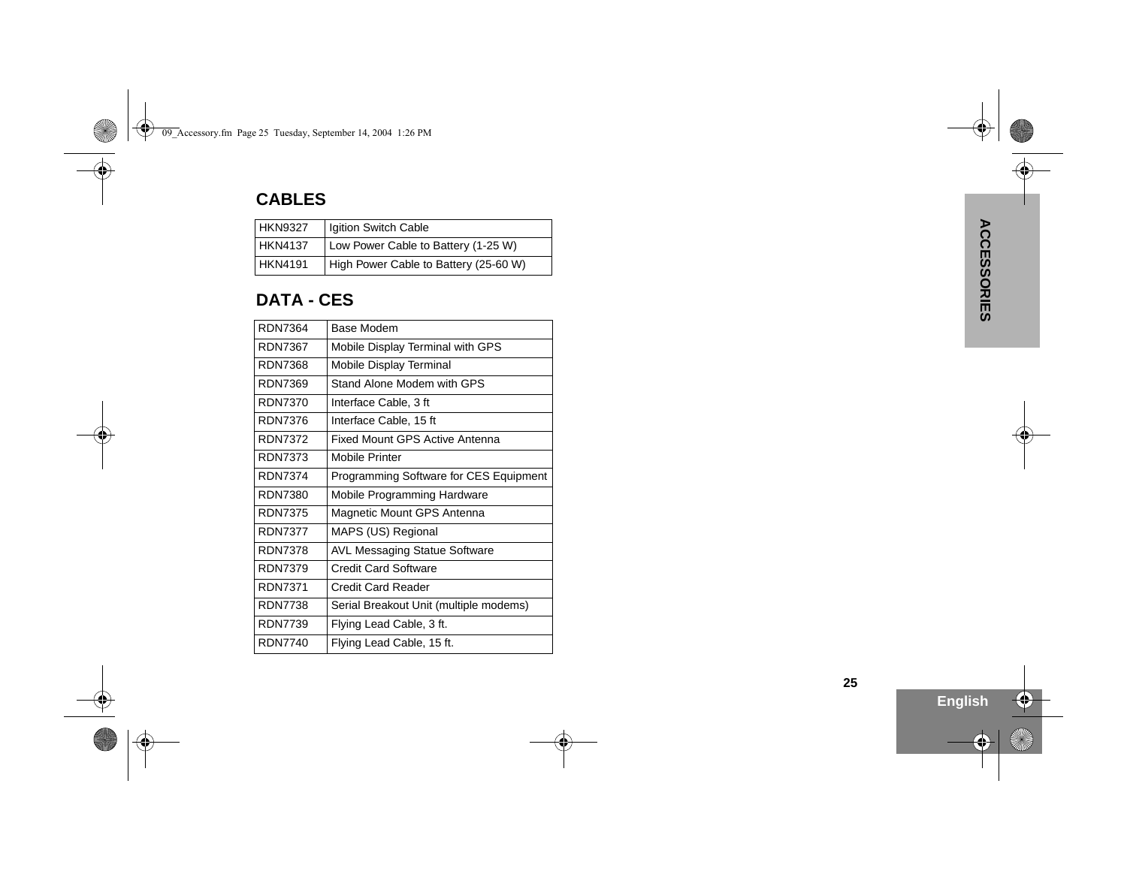### **CABLES**

| <b>HKN9327</b> | Igition Switch Cable                  |  |  |
|----------------|---------------------------------------|--|--|
| <b>HKN4137</b> | Low Power Cable to Battery (1-25 W)   |  |  |
| <b>HKN4191</b> | High Power Cable to Battery (25-60 W) |  |  |

### **DATA - CES**

| <b>RDN7364</b> | Base Modem                             |  |  |
|----------------|----------------------------------------|--|--|
| RDN7367        | Mobile Display Terminal with GPS       |  |  |
| RDN7368        | Mobile Display Terminal                |  |  |
| RDN7369        | Stand Alone Modem with GPS             |  |  |
| <b>RDN7370</b> | Interface Cable, 3 ft                  |  |  |
| RDN7376        | Interface Cable, 15 ft                 |  |  |
| <b>RDN7372</b> | Fixed Mount GPS Active Antenna         |  |  |
| <b>RDN7373</b> | Mobile Printer                         |  |  |
| RDN7374        | Programming Software for CES Equipment |  |  |
| RDN7380        | Mobile Programming Hardware            |  |  |
| RDN7375        | Magnetic Mount GPS Antenna             |  |  |
| <b>RDN7377</b> | MAPS (US) Regional                     |  |  |
| <b>RDN7378</b> | <b>AVL Messaging Statue Software</b>   |  |  |
| <b>RDN7379</b> | <b>Credit Card Software</b>            |  |  |
| <b>RDN7371</b> | Credit Card Reader                     |  |  |
| <b>RDN7738</b> | Serial Breakout Unit (multiple modems) |  |  |
| <b>RDN7739</b> | Flying Lead Cable, 3 ft.               |  |  |
| <b>RDN7740</b> | Flying Lead Cable, 15 ft.              |  |  |
|                |                                        |  |  |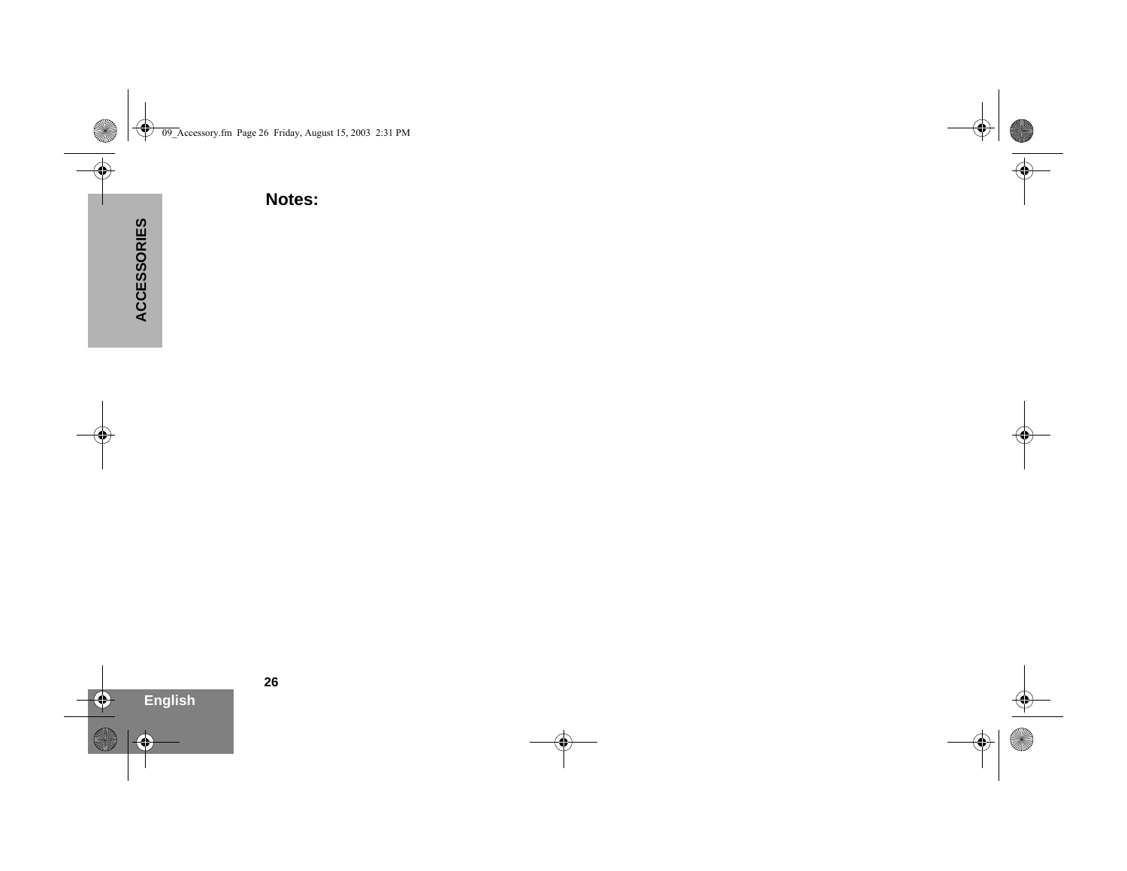**Notes:**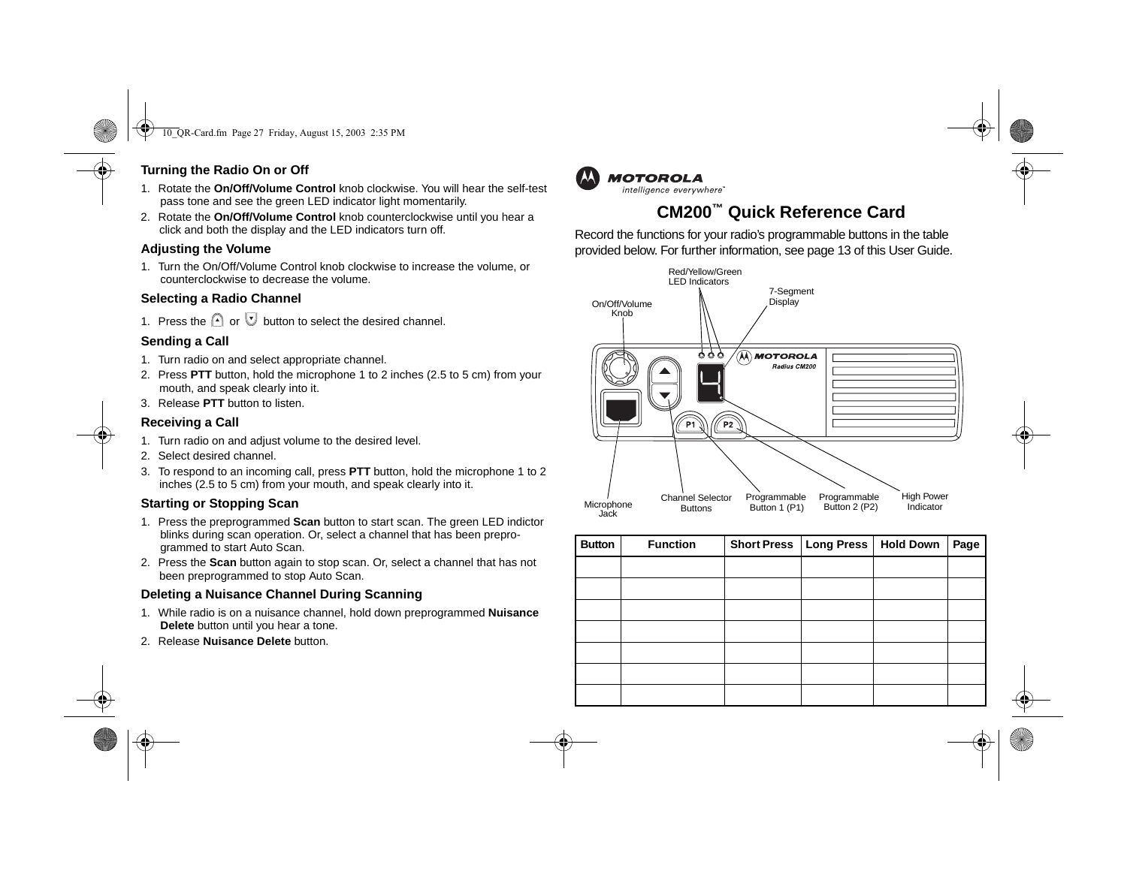#### **Turning the Radio On or Off**

- 1. Rotate the **On/Off/Volume Control** knob clockwise. You will hear the self-test pass tone and see the green LED indicator light momentarily.
- 2. Rotate the **On/Off/Volume Control** knob counterclockwise until you hear a click and both the display and the LED indicators turn off.

### **Adjusting the Volume**

1. Turn the On/Off/Volume Control knob clockwise to increase the volume, or counterclockwise to decrease the volume.

### **Selecting a Radio Channel**

1. Press the  $\bigcap$  or  $\bigcup$  button to select the desired channel.

### **Sending a Call**

- 1. Turn radio on and select appropriate channel.
- 2. Press **PTT** button, hold the microphone 1 to 2 inches (2.5 to 5 cm) from your mouth, and speak clearly into it.
- 3. Release **PTT** button to listen.

### **Receiving a Call**

- 1. Turn radio on and adjust volume to the desired level.
- 2. Select desired channel.
- 3. To respond to an incoming call, press **PTT** button, hold the microphone 1 to 2 inches (2.5 to 5 cm) from your mouth, and speak clearly into it.

### **Starting or Stopping Scan**

- 1. Press the preprogrammed **Scan** button to start scan. The green LED indictor blinks during scan operation. Or, select a channel that has been preprogrammed to start Auto Scan.
- 2. Press the **Scan** button again to stop scan. Or, select a channel that has not been preprogrammed to stop Auto Scan.

### **Deleting a Nuisance Channel During Scanning**

- 1. While radio is on a nuisance channel, hold down preprogrammed **Nuisance Delete** button until you hear a tone.
- 2. Release **Nuisance Delete** button.



## **CM200™ Quick Reference Card**

Record the functions for your radio's programmable buttons in the table provided below. For further information, see page 13 of this User Guide.



| <b>Button</b> | <b>Function</b> | <b>Short Press</b> | <b>Long Press</b> | <b>Hold Down</b> | Page |
|---------------|-----------------|--------------------|-------------------|------------------|------|
|               |                 |                    |                   |                  |      |
|               |                 |                    |                   |                  |      |
|               |                 |                    |                   |                  |      |
|               |                 |                    |                   |                  |      |
|               |                 |                    |                   |                  |      |
|               |                 |                    |                   |                  |      |
|               |                 |                    |                   |                  |      |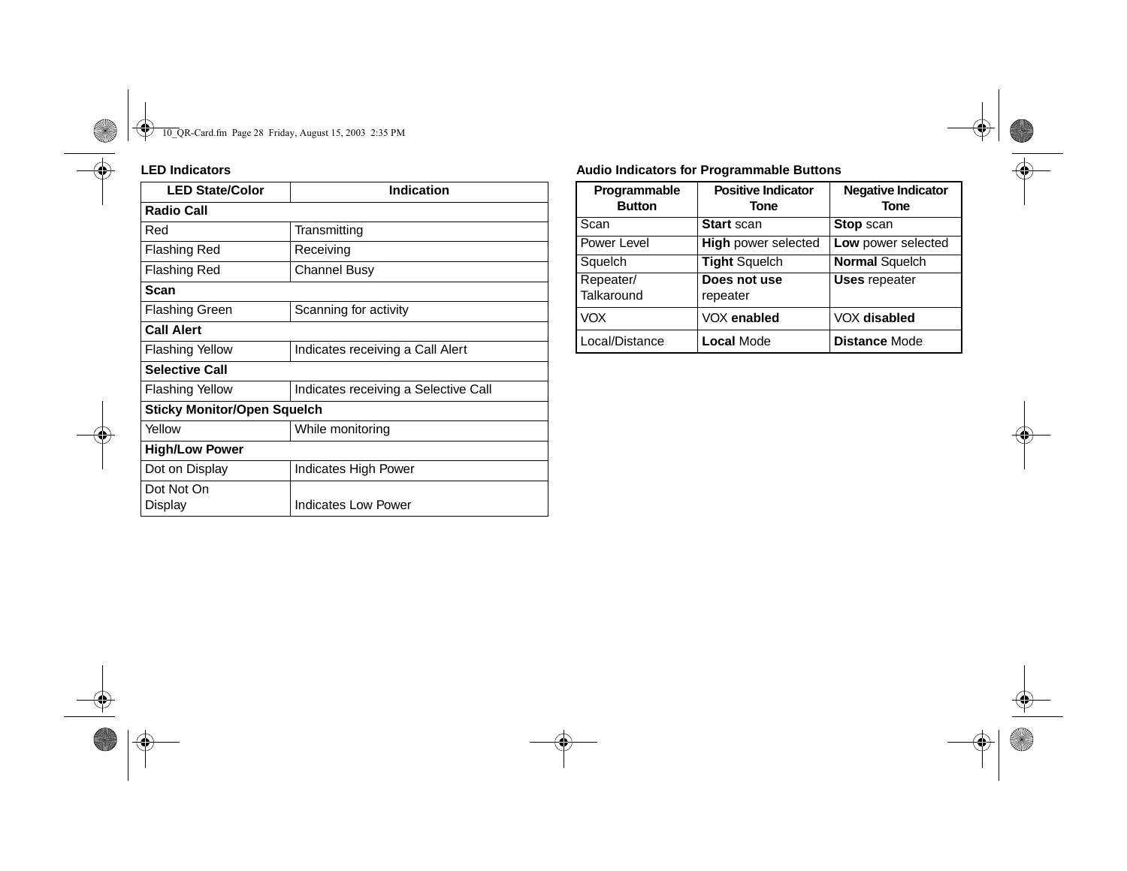| <b>LED State/Color</b>             | <b>Indication</b>                    |  |  |
|------------------------------------|--------------------------------------|--|--|
| <b>Radio Call</b>                  |                                      |  |  |
| Red                                | Transmitting                         |  |  |
| <b>Flashing Red</b>                | Receiving                            |  |  |
| <b>Flashing Red</b>                | Channel Busy                         |  |  |
| <b>Scan</b>                        |                                      |  |  |
| <b>Flashing Green</b>              | Scanning for activity                |  |  |
| <b>Call Alert</b>                  |                                      |  |  |
| <b>Flashing Yellow</b>             | Indicates receiving a Call Alert     |  |  |
| <b>Selective Call</b>              |                                      |  |  |
| <b>Flashing Yellow</b>             | Indicates receiving a Selective Call |  |  |
| <b>Sticky Monitor/Open Squelch</b> |                                      |  |  |
| Yellow                             | While monitoring                     |  |  |
| <b>High/Low Power</b>              |                                      |  |  |
| Dot on Display                     | Indicates High Power                 |  |  |
| Dot Not On                         |                                      |  |  |
| Display                            | <b>Indicates Low Power</b>           |  |  |

#### **LED Indicators Audio Indicators for Programmable Buttons**

| Programmable<br><b>Button</b> | <b>Positive Indicator</b><br>Tone | <b>Negative Indicator</b><br><b>Tone</b> |
|-------------------------------|-----------------------------------|------------------------------------------|
| Scan                          | <b>Start scan</b>                 | <b>Stop scan</b>                         |
| Power Level                   | <b>High power selected</b>        | Low power selected                       |
| Squelch                       | <b>Tight Squelch</b>              | <b>Normal Squelch</b>                    |
| Repeater/<br>Talkaround       | Does not use<br>repeater          | <b>Uses repeater</b>                     |
| <b>VOX</b>                    | VOX enabled                       | VOX disabled                             |
| Local/Distance                | <b>Local Mode</b>                 | <b>Distance Mode</b>                     |